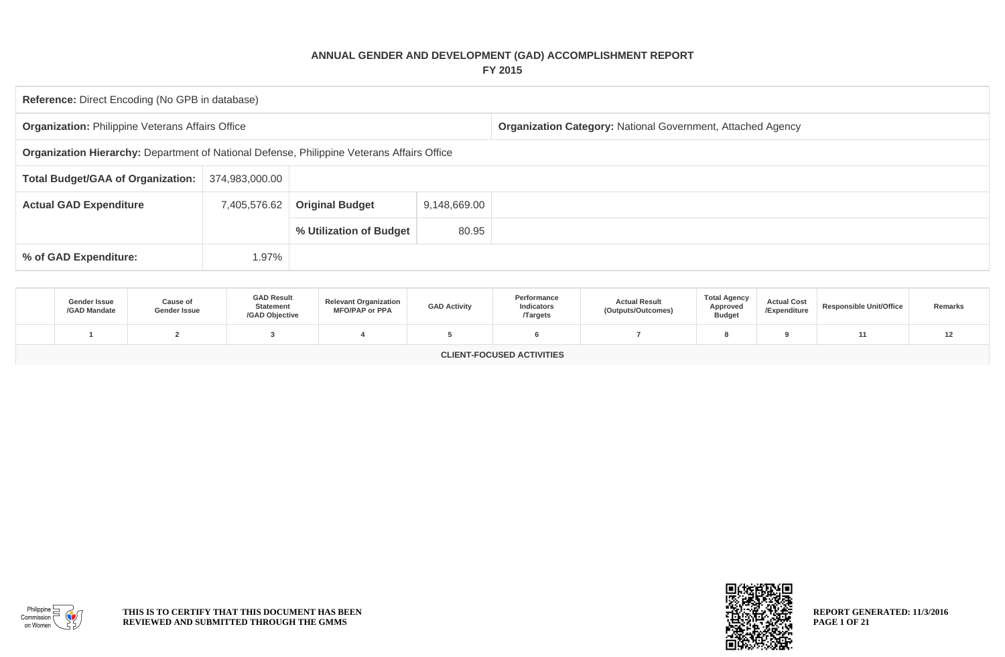## **ANNUAL GENDER AND DEVELOPMENT (GAD) ACCOMPLISHMENT REPORT FY 2015**

| <b>Reference:</b> Direct Encoding (No GPB in database)                                     |              |                        |              |                                                             |  |  |  |  |  |  |
|--------------------------------------------------------------------------------------------|--------------|------------------------|--------------|-------------------------------------------------------------|--|--|--|--|--|--|
| <b>Organization: Philippine Veterans Affairs Office</b>                                    |              |                        |              | Organization Category: National Government, Attached Agency |  |  |  |  |  |  |
| Organization Hierarchy: Department of National Defense, Philippine Veterans Affairs Office |              |                        |              |                                                             |  |  |  |  |  |  |
| <b>Total Budget/GAA of Organization:</b><br>374,983,000.00                                 |              |                        |              |                                                             |  |  |  |  |  |  |
| <b>Actual GAD Expenditure</b>                                                              | 7,405,576.62 | <b>Original Budget</b> | 9,148,669.00 |                                                             |  |  |  |  |  |  |
| 80.95<br>% Utilization of Budget                                                           |              |                        |              |                                                             |  |  |  |  |  |  |
| % of GAD Expenditure:                                                                      | 1.97%        |                        |              |                                                             |  |  |  |  |  |  |

| Gender Issue<br>/GAD Mandate     | Cause of<br>Gender Issue | <b>GAD Result</b><br><b>Statement</b><br>/GAD Objective | <b>Relevant Organization</b><br><b>MFO/PAP or PPA</b> | <b>GAD Activity</b> | Performance<br>Indicators<br><b>Targets</b> | <b>Actual Result</b><br>(Outputs/Outcomes) | <b>Total Agency</b><br>Approved<br><b>Budget</b> | <b>Actual Cost</b><br>/Expenditure | <b>Responsible Unit/Office</b> | Remarks |
|----------------------------------|--------------------------|---------------------------------------------------------|-------------------------------------------------------|---------------------|---------------------------------------------|--------------------------------------------|--------------------------------------------------|------------------------------------|--------------------------------|---------|
|                                  |                          |                                                         |                                                       |                     |                                             |                                            |                                                  |                                    |                                | 1 Z     |
| <b>CLIENT-FOCUSED ACTIVITIES</b> |                          |                                                         |                                                       |                     |                                             |                                            |                                                  |                                    |                                |         |



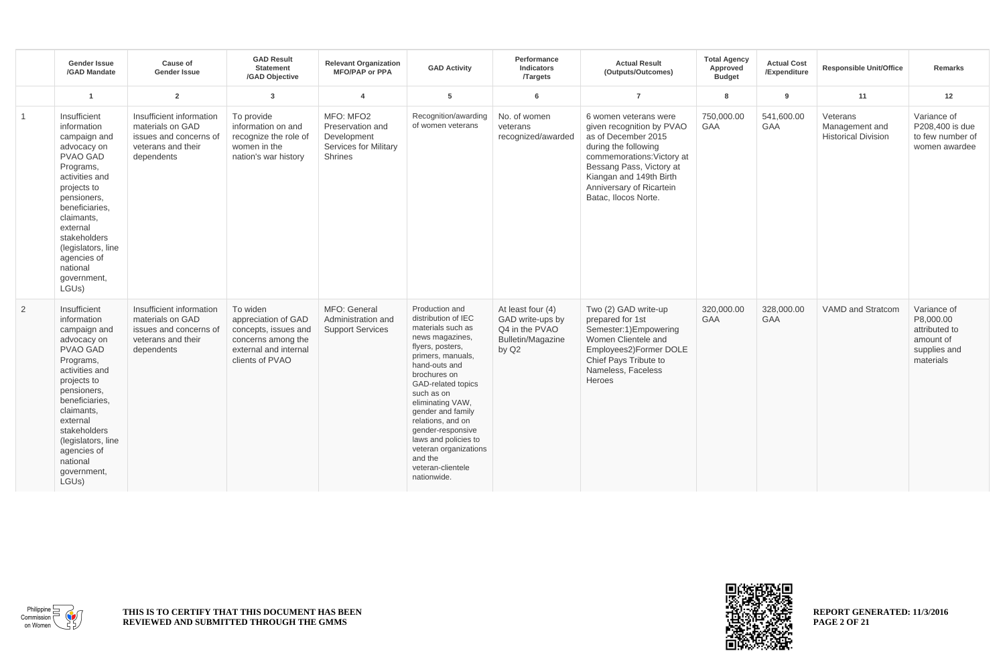|                | <b>Gender Issue</b><br>/GAD Mandate                                                                                                                                                                                                                                                          | Cause of<br><b>Gender Issue</b>                                                                            | <b>GAD Result</b><br><b>Statement</b><br>/GAD Objective                                                                   | <b>Relevant Organization</b><br><b>MFO/PAP or PPA</b>                                   | <b>GAD Activity</b>                                                                                                                                                                                                                                                                                                                                                            | Performance<br>Indicators<br><b>Targets</b>                                           | <b>Actual Result</b><br>(Outputs/Outcomes)                                                                                                                                                                                                 | <b>Total Agency</b><br>Approved<br><b>Budget</b> | <b>Actual Cost</b><br>/Expenditure | <b>Responsible Unit/Office</b>                           | <b>Remarks</b>                                                                      |
|----------------|----------------------------------------------------------------------------------------------------------------------------------------------------------------------------------------------------------------------------------------------------------------------------------------------|------------------------------------------------------------------------------------------------------------|---------------------------------------------------------------------------------------------------------------------------|-----------------------------------------------------------------------------------------|--------------------------------------------------------------------------------------------------------------------------------------------------------------------------------------------------------------------------------------------------------------------------------------------------------------------------------------------------------------------------------|---------------------------------------------------------------------------------------|--------------------------------------------------------------------------------------------------------------------------------------------------------------------------------------------------------------------------------------------|--------------------------------------------------|------------------------------------|----------------------------------------------------------|-------------------------------------------------------------------------------------|
|                | $\overline{1}$                                                                                                                                                                                                                                                                               | $\overline{2}$                                                                                             | $\overline{3}$                                                                                                            | $\overline{4}$                                                                          | 5                                                                                                                                                                                                                                                                                                                                                                              | 6                                                                                     | $\overline{7}$                                                                                                                                                                                                                             | 8                                                | 9                                  | 11                                                       | 12                                                                                  |
| $\mathbf{1}$   | Insufficient<br>information<br>campaign and<br>advocacy on<br><b>PVAO GAD</b><br>Programs,<br>activities and<br>projects to<br>pensioners,<br>beneficiaries,<br>claimants,<br>external<br>stakeholders<br>(legislators, line<br>agencies of<br>national<br>government,<br>LGUs)              | Insufficient information<br>materials on GAD<br>issues and concerns of<br>veterans and their<br>dependents | To provide<br>information on and<br>recognize the role of<br>women in the<br>nation's war history                         | MFO: MFO2<br>Preservation and<br>Development<br><b>Services for Military</b><br>Shrines | Recognition/awarding<br>of women veterans                                                                                                                                                                                                                                                                                                                                      | No. of women<br>veterans<br>recognized/awarded                                        | 6 women veterans were<br>given recognition by PVAO<br>as of December 2015<br>during the following<br>commemorations: Victory at<br>Bessang Pass, Victory at<br>Kiangan and 149th Birth<br>Anniversary of Ricartein<br>Batac, Ilocos Norte. | 750,000.00<br>GAA                                | 541,600.00<br>GAA                  | Veterans<br>Management and<br><b>Historical Division</b> | Variance of<br>P208,400 is due<br>to few number of<br>women awardee                 |
| $\overline{2}$ | Insufficient<br>information<br>campaign and<br>advocacy on<br><b>PVAO GAD</b><br>Programs,<br>activities and<br>projects to<br>pensioners,<br>beneficiaries,<br>claimants,<br>external<br>stakeholders<br>(legislators, line<br>agencies of<br>national<br>government,<br>LGU <sub>s</sub> ) | Insufficient information<br>materials on GAD<br>issues and concerns of<br>veterans and their<br>dependents | To widen<br>appreciation of GAD<br>concepts, issues and<br>concerns among the<br>external and internal<br>clients of PVAO | MFO: General<br>Administration and<br><b>Support Services</b>                           | Production and<br>distribution of IEC<br>materials such as<br>news magazines,<br>flyers, posters,<br>primers, manuals,<br>hand-outs and<br>brochures on<br>GAD-related topics<br>such as on<br>eliminating VAW,<br>gender and family<br>relations, and on<br>gender-responsive<br>laws and policies to<br>veteran organizations<br>and the<br>veteran-clientele<br>nationwide. | At least four (4)<br>GAD write-ups by<br>Q4 in the PVAO<br>Bulletin/Magazine<br>by Q2 | Two (2) GAD write-up<br>prepared for 1st<br>Semester:1)Empowering<br>Women Clientele and<br>Employees2) Former DOLE<br>Chief Pays Tribute to<br>Nameless, Faceless<br>Heroes                                                               | 320,000.00<br>GAA                                | 328,000.00<br>GAA                  | VAMD and Stratcom                                        | Variance of<br>P8,000.00<br>attributed to<br>amount of<br>supplies and<br>materials |



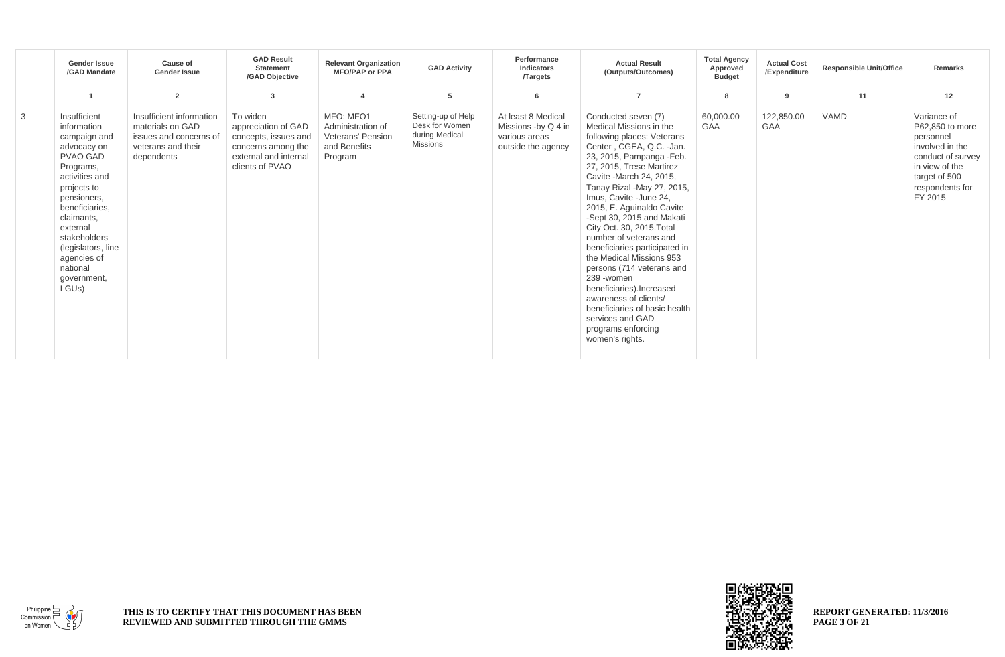|   | <b>Gender Issue</b><br>/GAD Mandate                                                                                                                                                                                                                                                          | Cause of<br><b>Gender Issue</b>                                                                            | <b>GAD Result</b><br><b>Statement</b><br>/GAD Objective                                                                   | <b>Relevant Organization</b><br><b>MFO/PAP or PPA</b>                          | <b>GAD Activity</b>                                                       | Performance<br>Indicators<br><b>Targets</b>                                      | <b>Actual Result</b><br>(Outputs/Outcomes)                                                                                                                                                                                                                                                                                                                                                                                                                                                                                                                                                                                          | <b>Total Agency</b><br>Approved<br><b>Budget</b> | <b>Actual Cost</b><br>/Expenditure | <b>Responsible Unit/Office</b> | Remarks                                                                                                                                              |
|---|----------------------------------------------------------------------------------------------------------------------------------------------------------------------------------------------------------------------------------------------------------------------------------------------|------------------------------------------------------------------------------------------------------------|---------------------------------------------------------------------------------------------------------------------------|--------------------------------------------------------------------------------|---------------------------------------------------------------------------|----------------------------------------------------------------------------------|-------------------------------------------------------------------------------------------------------------------------------------------------------------------------------------------------------------------------------------------------------------------------------------------------------------------------------------------------------------------------------------------------------------------------------------------------------------------------------------------------------------------------------------------------------------------------------------------------------------------------------------|--------------------------------------------------|------------------------------------|--------------------------------|------------------------------------------------------------------------------------------------------------------------------------------------------|
|   |                                                                                                                                                                                                                                                                                              | $\overline{2}$                                                                                             | 3                                                                                                                         | $\boldsymbol{\Lambda}$                                                         | 5                                                                         | 6                                                                                |                                                                                                                                                                                                                                                                                                                                                                                                                                                                                                                                                                                                                                     | 8                                                | 9                                  | 11                             | 12                                                                                                                                                   |
| 3 | Insufficient<br>information<br>campaign and<br>advocacy on<br><b>PVAO GAD</b><br>Programs,<br>activities and<br>projects to<br>pensioners,<br>beneficiaries,<br>claimants,<br>external<br>stakeholders<br>(legislators, line<br>agencies of<br>national<br>government,<br>LGU <sub>s</sub> ) | Insufficient information<br>materials on GAD<br>issues and concerns of<br>veterans and their<br>dependents | To widen<br>appreciation of GAD<br>concepts, issues and<br>concerns among the<br>external and internal<br>clients of PVAO | MFO: MFO1<br>Administration of<br>Veterans' Pension<br>and Benefits<br>Program | Setting-up of Help<br>Desk for Women<br>during Medical<br><b>Missions</b> | At least 8 Medical<br>Missions -by Q 4 in<br>various areas<br>outside the agency | Conducted seven (7)<br>Medical Missions in the<br>following places: Veterans<br>Center, CGEA, Q.C. -Jan.<br>23, 2015, Pampanga - Feb.<br>27, 2015, Trese Martirez<br>Cavite - March 24, 2015,<br>Tanay Rizal -May 27, 2015,<br>Imus. Cavite - June 24.<br>2015, E. Aguinaldo Cavite<br>-Sept 30, 2015 and Makati<br>City Oct. 30, 2015. Total<br>number of veterans and<br>beneficiaries participated in<br>the Medical Missions 953<br>persons (714 veterans and<br>239 - women<br>beneficiaries).Increased<br>awareness of clients/<br>beneficiaries of basic health<br>services and GAD<br>programs enforcing<br>women's rights. | 60,000.00<br><b>GAA</b>                          | 122,850.00<br>GAA                  | <b>VAMD</b>                    | Variance of<br>P62,850 to more<br>personnel<br>involved in the<br>conduct of survey<br>in view of the<br>target of 500<br>respondents for<br>FY 2015 |

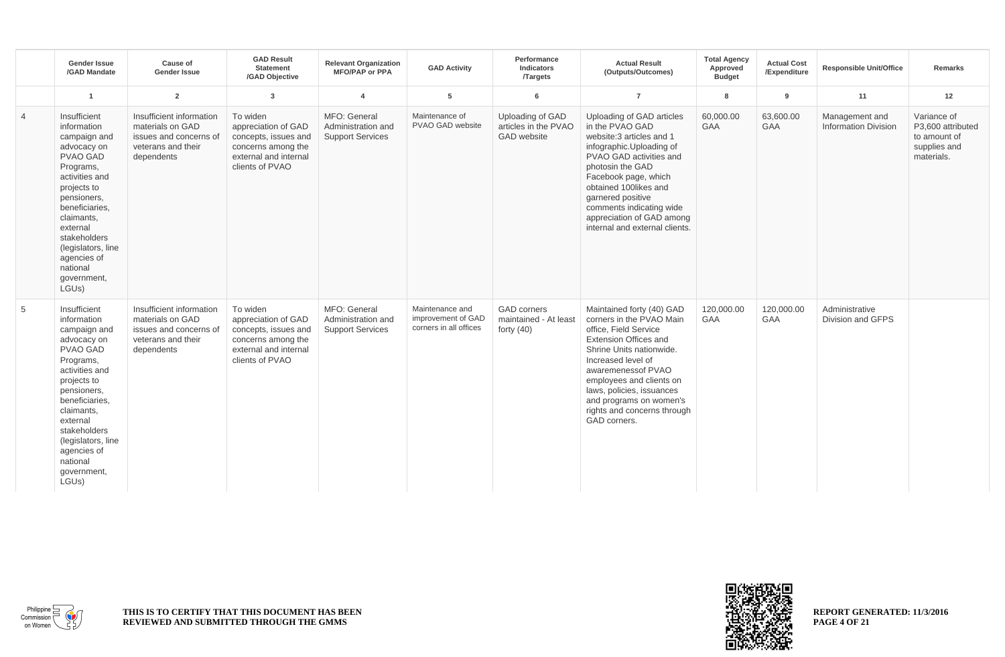|                | <b>Gender Issue</b><br>/GAD Mandate                                                                                                                                                                                                                                             | Cause of<br><b>Gender Issue</b>                                                                            | <b>GAD Result</b><br><b>Statement</b><br>/GAD Objective                                                                   | <b>Relevant Organization</b><br><b>MFO/PAP or PPA</b>         | <b>GAD Activity</b>                                             | Performance<br>Indicators<br><b>Targets</b>                    | <b>Actual Result</b><br>(Outputs/Outcomes)                                                                                                                                                                                                                                                                                | <b>Total Agency</b><br>Approved<br><b>Budget</b> | <b>Actual Cost</b><br>/Expenditure | <b>Responsible Unit/Office</b>                | <b>Remarks</b>                                                                 |
|----------------|---------------------------------------------------------------------------------------------------------------------------------------------------------------------------------------------------------------------------------------------------------------------------------|------------------------------------------------------------------------------------------------------------|---------------------------------------------------------------------------------------------------------------------------|---------------------------------------------------------------|-----------------------------------------------------------------|----------------------------------------------------------------|---------------------------------------------------------------------------------------------------------------------------------------------------------------------------------------------------------------------------------------------------------------------------------------------------------------------------|--------------------------------------------------|------------------------------------|-----------------------------------------------|--------------------------------------------------------------------------------|
|                | $\overline{1}$                                                                                                                                                                                                                                                                  | $\overline{2}$                                                                                             | $\overline{3}$                                                                                                            | $\overline{4}$                                                | 5                                                               | 6                                                              | $\overline{7}$                                                                                                                                                                                                                                                                                                            | 8                                                | 9                                  | 11                                            | 12                                                                             |
| $\overline{4}$ | Insufficient<br>information<br>campaign and<br>advocacy on<br><b>PVAO GAD</b><br>Programs,<br>activities and<br>projects to<br>pensioners,<br>beneficiaries,<br>claimants,<br>external<br>stakeholders<br>(legislators, line<br>agencies of<br>national<br>government,<br>LGUs) | Insufficient information<br>materials on GAD<br>issues and concerns of<br>veterans and their<br>dependents | To widen<br>appreciation of GAD<br>concepts, issues and<br>concerns among the<br>external and internal<br>clients of PVAO | MFO: General<br>Administration and<br><b>Support Services</b> | Maintenance of<br>PVAO GAD website                              | Uploading of GAD<br>articles in the PVAO<br><b>GAD</b> website | Uploading of GAD articles<br>in the PVAO GAD<br>website:3 articles and 1<br>infographic.Uploading of<br>PVAO GAD activities and<br>photosin the GAD<br>Facebook page, which<br>obtained 100likes and<br>garnered positive<br>comments indicating wide<br>appreciation of GAD among<br>internal and external clients.      | 60,000.00<br>GAA                                 | 63,600.00<br><b>GAA</b>            | Management and<br><b>Information Division</b> | Variance of<br>P3.600 attributed<br>to amount of<br>supplies and<br>materials. |
| 5              | Insufficient<br>information<br>campaign and<br>advocacy on<br><b>PVAO GAD</b><br>Programs,<br>activities and<br>projects to<br>pensioners,<br>beneficiaries,<br>claimants,<br>external<br>stakeholders<br>(legislators, line<br>agencies of<br>national<br>government,<br>LGUs) | Insufficient information<br>materials on GAD<br>issues and concerns of<br>veterans and their<br>dependents | To widen<br>appreciation of GAD<br>concepts, issues and<br>concerns among the<br>external and internal<br>clients of PVAO | MFO: General<br>Administration and<br><b>Support Services</b> | Maintenance and<br>improvement of GAD<br>corners in all offices | <b>GAD</b> corners<br>maintained - At least<br>forty $(40)$    | Maintained forty (40) GAD<br>corners in the PVAO Main<br>office, Field Service<br><b>Extension Offices and</b><br>Shrine Units nationwide.<br>Increased level of<br>awaremenessof PVAO<br>employees and clients on<br>laws, policies, issuances<br>and programs on women's<br>rights and concerns through<br>GAD corners. | 120,000.00<br>GAA                                | 120,000.00<br>GAA                  | Administrative<br>Division and GFPS           |                                                                                |



Commission on Women

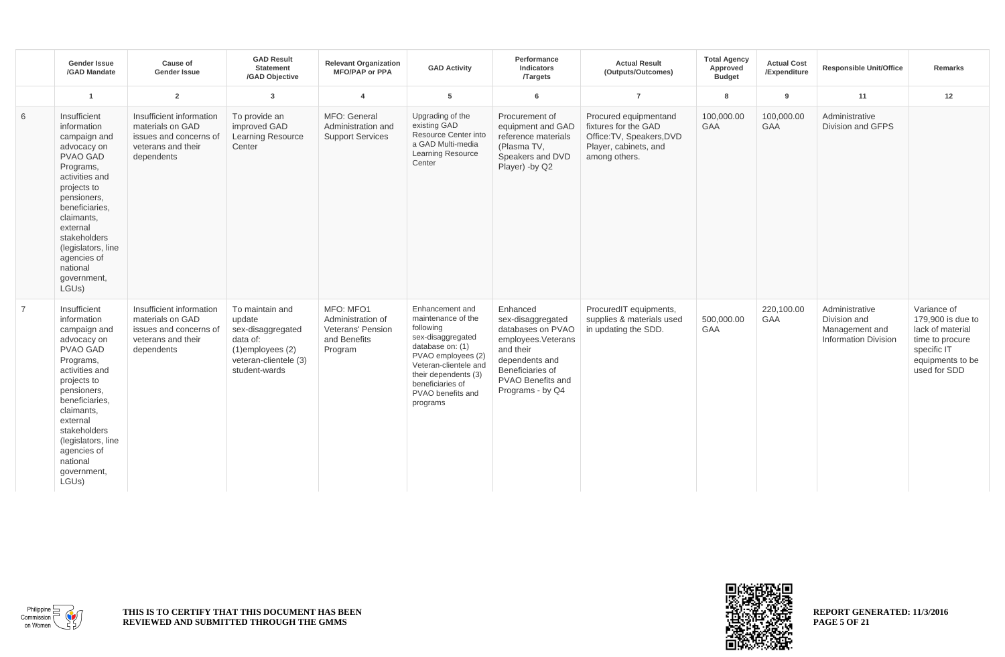|                | <b>Gender Issue</b><br>/GAD Mandate                                                                                                                                                                                                                                             | Cause of<br><b>Gender Issue</b>                                                                            | <b>GAD Result</b><br><b>Statement</b><br>/GAD Objective                                                                       | <b>Relevant Organization</b><br><b>MFO/PAP or PPA</b>                                 | <b>GAD Activity</b>                                                                                                                                                                                                     | Performance<br>Indicators<br><b>Targets</b>                                                                                                                          | <b>Actual Result</b><br>(Outputs/Outcomes)                                                                           | <b>Total Agency</b><br>Approved<br><b>Budget</b> | <b>Actual Cost</b><br>/Expenditure | <b>Responsible Unit/Office</b>                                                  | <b>Remarks</b>                                                                                                             |
|----------------|---------------------------------------------------------------------------------------------------------------------------------------------------------------------------------------------------------------------------------------------------------------------------------|------------------------------------------------------------------------------------------------------------|-------------------------------------------------------------------------------------------------------------------------------|---------------------------------------------------------------------------------------|-------------------------------------------------------------------------------------------------------------------------------------------------------------------------------------------------------------------------|----------------------------------------------------------------------------------------------------------------------------------------------------------------------|----------------------------------------------------------------------------------------------------------------------|--------------------------------------------------|------------------------------------|---------------------------------------------------------------------------------|----------------------------------------------------------------------------------------------------------------------------|
|                | $\overline{1}$                                                                                                                                                                                                                                                                  | $\overline{2}$                                                                                             | $\overline{3}$                                                                                                                | $\overline{4}$                                                                        | 5                                                                                                                                                                                                                       | 6                                                                                                                                                                    | $\overline{7}$                                                                                                       | 8                                                | 9                                  | 11                                                                              | 12                                                                                                                         |
| 6              | Insufficient<br>information<br>campaign and<br>advocacy on<br><b>PVAO GAD</b><br>Programs,<br>activities and<br>projects to<br>pensioners,<br>beneficiaries,<br>claimants,<br>external<br>stakeholders<br>(legislators, line<br>agencies of<br>national<br>government,<br>LGUs) | Insufficient information<br>materials on GAD<br>issues and concerns of<br>veterans and their<br>dependents | To provide an<br>improved GAD<br><b>Learning Resource</b><br>Center                                                           | MFO: General<br>Administration and<br><b>Support Services</b>                         | Upgrading of the<br>existing GAD<br>Resource Center into<br>a GAD Multi-media<br><b>Learning Resource</b><br>Center                                                                                                     | Procurement of<br>equipment and GAD<br>reference materials<br>(Plasma TV,<br>Speakers and DVD<br>Player) -by Q2                                                      | Procured equipmentand<br>fixtures for the GAD<br>Office: TV, Speakers, DVD<br>Player, cabinets, and<br>among others. | 100,000.00<br><b>GAA</b>                         | 100,000.00<br><b>GAA</b>           | Administrative<br>Division and GFPS                                             |                                                                                                                            |
| $\overline{7}$ | Insufficient<br>information<br>campaign and<br>advocacy on<br><b>PVAO GAD</b><br>Programs,<br>activities and<br>projects to<br>pensioners,<br>beneficiaries,<br>claimants,<br>external<br>stakeholders<br>(legislators, line<br>agencies of<br>national<br>government,<br>LGUs) | Insufficient information<br>materials on GAD<br>issues and concerns of<br>veterans and their<br>dependents | To maintain and<br>update<br>sex-disaggregated<br>data of:<br>$(1)$ employees $(2)$<br>veteran-clientele (3)<br>student-wards | MFO: MFO1<br>Administration of<br><b>Veterans' Pension</b><br>and Benefits<br>Program | Enhancement and<br>maintenance of the<br>following<br>sex-disaggregated<br>database on: (1)<br>PVAO employees (2)<br>Veteran-clientele and<br>their dependents (3)<br>beneficiaries of<br>PVAO benefits and<br>programs | Enhanced<br>sex-disaggregated<br>databases on PVAO<br>employees.Veterans<br>and their<br>dependents and<br>Beneficiaries of<br>PVAO Benefits and<br>Programs - by Q4 | ProcuredIT equipments,<br>supplies & materials used<br>in updating the SDD.                                          | 500,000.00<br><b>GAA</b>                         | 220.100.00<br><b>GAA</b>           | Administrative<br>Division and<br>Management and<br><b>Information Division</b> | Variance of<br>179,900 is due to<br>lack of material<br>time to procure<br>specific IT<br>equipments to be<br>used for SDD |



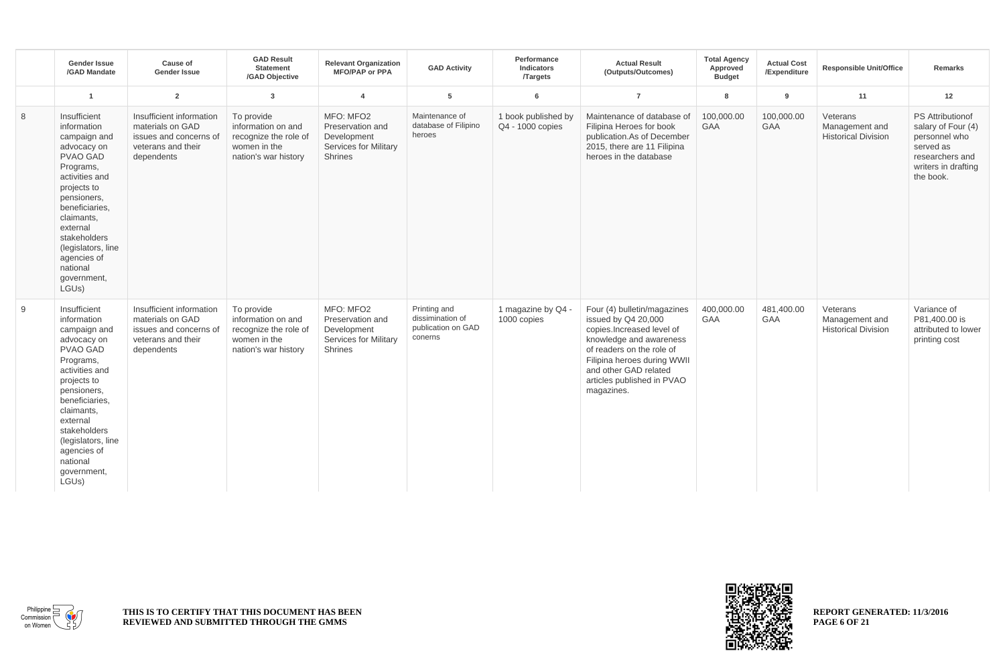|   | <b>Gender Issue</b><br>/GAD Mandate                                                                                                                                                                                                                                                          | Cause of<br><b>Gender Issue</b>                                                                            | <b>GAD Result</b><br><b>Statement</b><br>/GAD Objective                                           | <b>Relevant Organization</b><br><b>MFO/PAP or PPA</b>                                          | <b>GAD Activity</b>                                               | Performance<br>Indicators<br><b>Targets</b> | <b>Actual Result</b><br>(Outputs/Outcomes)                                                                                                                                                                                                  | <b>Total Agency</b><br>Approved<br><b>Budget</b> | <b>Actual Cost</b><br>/Expenditure | <b>Responsible Unit/Office</b>                           | <b>Remarks</b>                                                                                                                     |
|---|----------------------------------------------------------------------------------------------------------------------------------------------------------------------------------------------------------------------------------------------------------------------------------------------|------------------------------------------------------------------------------------------------------------|---------------------------------------------------------------------------------------------------|------------------------------------------------------------------------------------------------|-------------------------------------------------------------------|---------------------------------------------|---------------------------------------------------------------------------------------------------------------------------------------------------------------------------------------------------------------------------------------------|--------------------------------------------------|------------------------------------|----------------------------------------------------------|------------------------------------------------------------------------------------------------------------------------------------|
|   | $\overline{1}$                                                                                                                                                                                                                                                                               | $\overline{2}$                                                                                             | $\overline{3}$                                                                                    | $\overline{4}$                                                                                 | 5                                                                 | 6                                           | $\overline{7}$                                                                                                                                                                                                                              | 8                                                | 9                                  | 11                                                       | 12                                                                                                                                 |
| 8 | Insufficient<br>information<br>campaign and<br>advocacy on<br><b>PVAO GAD</b><br>Programs,<br>activities and<br>projects to<br>pensioners,<br>beneficiaries,<br>claimants,<br>external<br>stakeholders<br>(legislators, line<br>agencies of<br>national<br>government,<br>LGU <sub>s</sub> ) | Insufficient information<br>materials on GAD<br>issues and concerns of<br>veterans and their<br>dependents | To provide<br>information on and<br>recognize the role of<br>women in the<br>nation's war history | MFO: MFO2<br>Preservation and<br>Development<br><b>Services for Military</b><br><b>Shrines</b> | Maintenance of<br>database of Filipino<br>heroes                  | 1 book published by<br>Q4 - 1000 copies     | Maintenance of database of<br>Filipina Heroes for book<br>publication.As of December<br>2015, there are 11 Filipina<br>heroes in the database                                                                                               | 100.000.00<br>GAA                                | 100,000.00<br><b>GAA</b>           | Veterans<br>Management and<br><b>Historical Division</b> | <b>PS Attributionof</b><br>salary of Four (4)<br>personnel who<br>served as<br>researchers and<br>writers in drafting<br>the book. |
| 9 | Insufficient<br>information<br>campaign and<br>advocacy on<br>PVAO GAD<br>Programs,<br>activities and<br>projects to<br>pensioners,<br>beneficiaries,<br>claimants,<br>external<br>stakeholders<br>(legislators, line<br>agencies of<br>national<br>government,<br>LGU <sub>s</sub> )        | Insufficient information<br>materials on GAD<br>issues and concerns of<br>veterans and their<br>dependents | To provide<br>information on and<br>recognize the role of<br>women in the<br>nation's war history | MFO: MFO2<br>Preservation and<br>Development<br><b>Services for Military</b><br><b>Shrines</b> | Printing and<br>dissimination of<br>publication on GAD<br>conerns | 1 magazine by Q4 -<br>1000 copies           | Four (4) bulletin/magazines<br>issued by Q4 20,000<br>copies.Increased level of<br>knowledge and awareness<br>of readers on the role of<br>Filipina heroes during WWII<br>and other GAD related<br>articles published in PVAO<br>magazines. | 400,000.00<br><b>GAA</b>                         | 481,400.00<br><b>GAA</b>           | Veterans<br>Management and<br><b>Historical Division</b> | Variance of<br>P81,400.00 is<br>attributed to lower<br>printing cost                                                               |



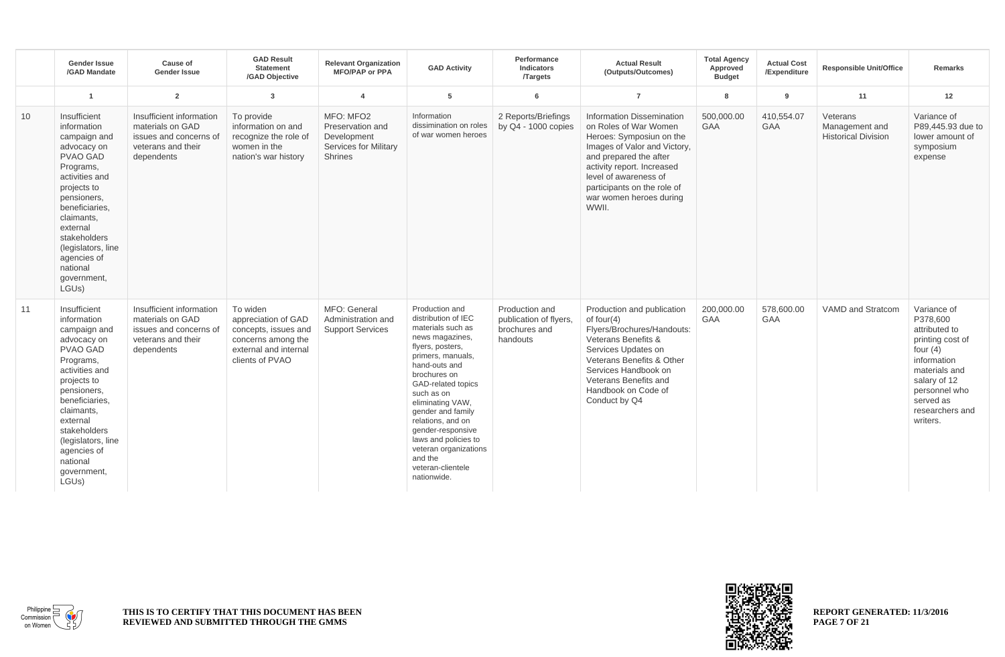|    | <b>Gender Issue</b><br>/GAD Mandate                                                                                                                                                                                                                                                   | Cause of<br><b>Gender Issue</b>                                                                            | <b>GAD Result</b><br><b>Statement</b><br>/GAD Objective                                                                   | <b>Relevant Organization</b><br><b>MFO/PAP or PPA</b>                                   | <b>GAD Activity</b>                                                                                                                                                                                                                                                                                                                                                            | Performance<br>Indicators<br><b>Targets</b>                           | <b>Actual Result</b><br>(Outputs/Outcomes)                                                                                                                                                                                                                                | <b>Total Agency</b><br>Approved<br><b>Budget</b> | <b>Actual Cost</b><br>/Expenditure | <b>Responsible Unit/Office</b>                           | <b>Remarks</b>                                                                                                                                                                          |
|----|---------------------------------------------------------------------------------------------------------------------------------------------------------------------------------------------------------------------------------------------------------------------------------------|------------------------------------------------------------------------------------------------------------|---------------------------------------------------------------------------------------------------------------------------|-----------------------------------------------------------------------------------------|--------------------------------------------------------------------------------------------------------------------------------------------------------------------------------------------------------------------------------------------------------------------------------------------------------------------------------------------------------------------------------|-----------------------------------------------------------------------|---------------------------------------------------------------------------------------------------------------------------------------------------------------------------------------------------------------------------------------------------------------------------|--------------------------------------------------|------------------------------------|----------------------------------------------------------|-----------------------------------------------------------------------------------------------------------------------------------------------------------------------------------------|
|    | $\overline{1}$                                                                                                                                                                                                                                                                        | $\overline{2}$                                                                                             | $\overline{3}$                                                                                                            | $\overline{4}$                                                                          | 5                                                                                                                                                                                                                                                                                                                                                                              | 6                                                                     | $\overline{7}$                                                                                                                                                                                                                                                            | 8                                                | 9                                  | 11                                                       | 12                                                                                                                                                                                      |
| 10 | Insufficient<br>information<br>campaign and<br>advocacy on<br><b>PVAO GAD</b><br>Programs,<br>activities and<br>projects to<br>pensioners,<br>beneficiaries,<br>claimants,<br>external<br>stakeholders<br>(legislators, line<br>agencies of<br>national<br>government,<br>LGUs)       | Insufficient information<br>materials on GAD<br>issues and concerns of<br>veterans and their<br>dependents | To provide<br>information on and<br>recognize the role of<br>women in the<br>nation's war history                         | MFO: MFO2<br>Preservation and<br>Development<br><b>Services for Military</b><br>Shrines | Information<br>dissimination on roles<br>of war women heroes                                                                                                                                                                                                                                                                                                                   | 2 Reports/Briefings<br>by $Q4 - 1000$ copies                          | <b>Information Dissemination</b><br>on Roles of War Women<br>Heroes: Symposiun on the<br>Images of Valor and Victory,<br>and prepared the after<br>activity report. Increased<br>level of awareness of<br>participants on the role of<br>war women heroes during<br>WWII. | 500.000.00<br>GAA                                | 410,554.07<br>GAA                  | Veterans<br>Management and<br><b>Historical Division</b> | Variance of<br>P89,445.93 due to<br>lower amount of<br>symposium<br>expense                                                                                                             |
| 11 | Insufficient<br>information<br>campaign and<br>advocacy on<br>PVAO GAD<br>Programs,<br>activities and<br>projects to<br>pensioners,<br>beneficiaries,<br>claimants,<br>external<br>stakeholders<br>(legislators, line<br>agencies of<br>national<br>government,<br>LGU <sub>s</sub> ) | Insufficient information<br>materials on GAD<br>issues and concerns of<br>veterans and their<br>dependents | To widen<br>appreciation of GAD<br>concepts, issues and<br>concerns among the<br>external and internal<br>clients of PVAO | MFO: General<br>Administration and<br><b>Support Services</b>                           | Production and<br>distribution of IEC<br>materials such as<br>news magazines,<br>flyers, posters,<br>primers, manuals,<br>hand-outs and<br>brochures on<br>GAD-related topics<br>such as on<br>eliminating VAW,<br>gender and family<br>relations, and on<br>gender-responsive<br>laws and policies to<br>veteran organizations<br>and the<br>veteran-clientele<br>nationwide. | Production and<br>publication of flyers,<br>brochures and<br>handouts | Production and publication<br>of four $(4)$<br>Flyers/Brochures/Handouts:<br>Veterans Benefits &<br>Services Updates on<br>Veterans Benefits & Other<br>Services Handbook on<br>Veterans Benefits and<br>Handbook on Code of<br>Conduct by Q4                             | 200,000.00<br>GAA                                | 578,600.00<br><b>GAA</b>           | VAMD and Stratcom                                        | Variance of<br>P378,600<br>attributed to<br>printing cost of<br>four $(4)$<br>information<br>materials and<br>salary of 12<br>personnel who<br>served as<br>researchers and<br>writers. |



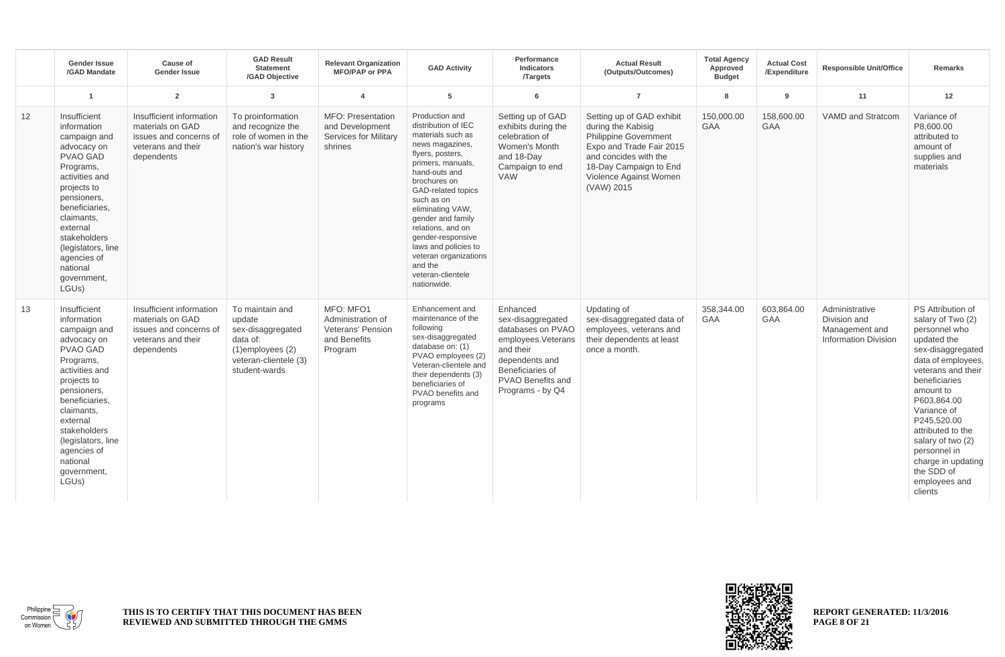|    | <b>Gender Issue</b><br>/GAD Mandate                                                                                                                                                                                                                                                          | Cause of<br><b>Gender Issue</b>                                                                            | <b>GAD Result</b><br><b>Statement</b><br>/GAD Objective                                                                       | <b>Relevant Organization</b><br><b>MFO/PAP or PPA</b>                                  | <b>GAD Activity</b>                                                                                                                                                                                                                                                                                                                                                            | Performance<br>Indicators<br><b>Targets</b>                                                                                                                                  | <b>Actual Result</b><br>(Outputs/Outcomes)                                                                                                                                                             | <b>Total Agency</b><br>Approved<br><b>Budget</b> | <b>Actual Cost</b><br>/Expenditure | <b>Responsible Unit/Office</b>                                                  | <b>Remarks</b>                                                                                                                                                                                                                                                                                                                               |
|----|----------------------------------------------------------------------------------------------------------------------------------------------------------------------------------------------------------------------------------------------------------------------------------------------|------------------------------------------------------------------------------------------------------------|-------------------------------------------------------------------------------------------------------------------------------|----------------------------------------------------------------------------------------|--------------------------------------------------------------------------------------------------------------------------------------------------------------------------------------------------------------------------------------------------------------------------------------------------------------------------------------------------------------------------------|------------------------------------------------------------------------------------------------------------------------------------------------------------------------------|--------------------------------------------------------------------------------------------------------------------------------------------------------------------------------------------------------|--------------------------------------------------|------------------------------------|---------------------------------------------------------------------------------|----------------------------------------------------------------------------------------------------------------------------------------------------------------------------------------------------------------------------------------------------------------------------------------------------------------------------------------------|
|    | $\overline{1}$                                                                                                                                                                                                                                                                               | $\overline{2}$                                                                                             | $\overline{3}$                                                                                                                | $\overline{4}$                                                                         | $\overline{5}$                                                                                                                                                                                                                                                                                                                                                                 | 6                                                                                                                                                                            | $\overline{7}$                                                                                                                                                                                         | 8                                                | 9                                  | 11                                                                              | 12                                                                                                                                                                                                                                                                                                                                           |
| 12 | Insufficient<br>information<br>campaign and<br>advocacy on<br><b>PVAO GAD</b><br>Programs,<br>activities and<br>projects to<br>pensioners,<br>beneficiaries,<br>claimants.<br>external<br>stakeholders<br>(legislators, line<br>agencies of<br>national<br>government,<br>LGUs)              | Insufficient information<br>materials on GAD<br>issues and concerns of<br>veterans and their<br>dependents | To proinformation<br>and recognize the<br>role of women in the<br>nation's war history                                        | <b>MFO: Presentation</b><br>and Development<br><b>Services for Military</b><br>shrines | Production and<br>distribution of IEC<br>materials such as<br>news magazines,<br>flyers, posters,<br>primers, manuals,<br>hand-outs and<br>brochures on<br>GAD-related topics<br>such as on<br>eliminating VAW,<br>gender and family<br>relations, and on<br>gender-responsive<br>laws and policies to<br>veteran organizations<br>and the<br>veteran-clientele<br>nationwide. | Setting up of GAD<br>exhibits during the<br>celebration of<br>Women's Month<br>and 18-Day<br>Campaign to end<br><b>VAW</b>                                                   | Setting up of GAD exhibit<br>during the Kabisig<br><b>Philippine Government</b><br>Expo and Trade Fair 2015<br>and concides with the<br>18-Day Campaign to End<br>Violence Against Women<br>(VAW) 2015 | 150,000.00<br>GAA                                | 158,600.00<br><b>GAA</b>           | <b>VAMD and Stratcom</b>                                                        | Variance of<br>P8.600.00<br>attributed to<br>amount of<br>supplies and<br>materials                                                                                                                                                                                                                                                          |
| 13 | Insufficient<br>information<br>campaign and<br>advocacy on<br><b>PVAO GAD</b><br>Programs,<br>activities and<br>projects to<br>pensioners,<br>beneficiaries.<br>claimants,<br>external<br>stakeholders<br>(legislators, line<br>agencies of<br>national<br>government,<br>LGU <sub>s</sub> ) | Insufficient information<br>materials on GAD<br>issues and concerns of<br>veterans and their<br>dependents | To maintain and<br>update<br>sex-disaggregated<br>data of:<br>$(1)$ employees $(2)$<br>veteran-clientele (3)<br>student-wards | MFO: MFO1<br>Administration of<br>Veterans' Pension<br>and Benefits<br>Program         | Enhancement and<br>maintenance of the<br>following<br>sex-disaggregated<br>database on: (1)<br>PVAO employees (2)<br>Veteran-clientele and<br>their dependents (3)<br>beneficiaries of<br>PVAO benefits and<br>programs                                                                                                                                                        | Enhanced<br>sex-disaggregated<br>databases on PVAO<br>employees. Veterans<br>and their<br>dependents and<br>Beneficiaries of<br><b>PVAO Benefits and</b><br>Programs - by Q4 | Updating of<br>sex-disaggregated data of<br>employees, veterans and<br>their dependents at least<br>once a month.                                                                                      | 358,344.00<br>GAA                                | 603.864.00<br>GAA                  | Administrative<br>Division and<br>Management and<br><b>Information Division</b> | PS Attribution of<br>salary of Two (2)<br>personnel who<br>updated the<br>sex-disaggregated<br>data of employees,<br>veterans and their<br>beneficiaries<br>amount to<br>P603,864.00<br>Variance of<br>P245.520.00<br>attributed to the<br>salary of two (2)<br>personnel in<br>charge in updating<br>the SDD of<br>employees and<br>clients |



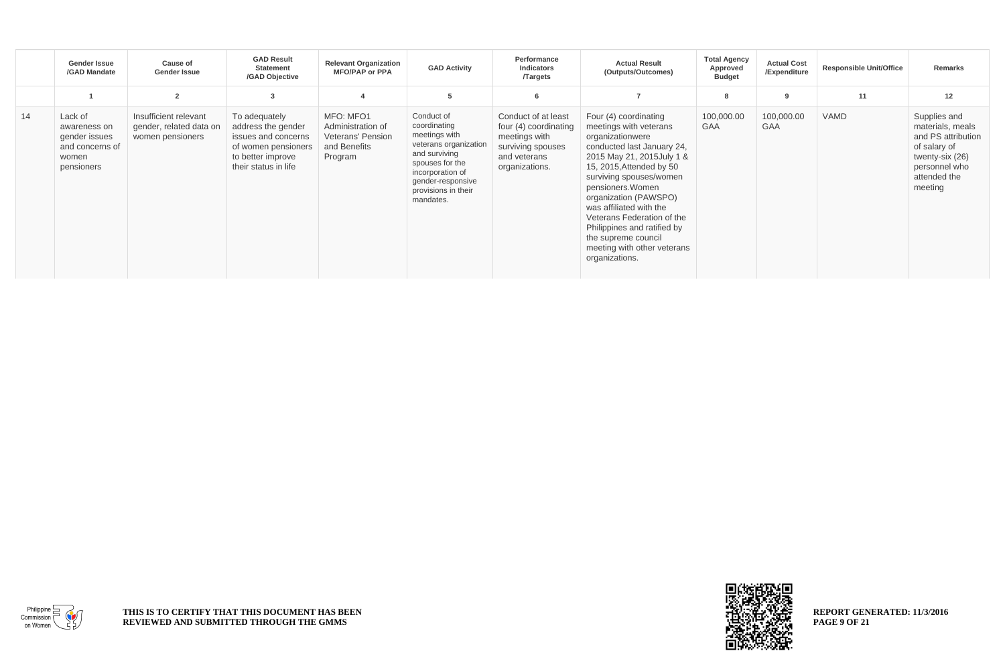|    | Gender Issue<br>/GAD Mandate                                                       | Cause of<br><b>Gender Issue</b>                                      | <b>GAD Result</b><br><b>Statement</b><br>/GAD Objective                                                                        | <b>Relevant Organization</b><br><b>MFO/PAP or PPA</b>                          | <b>GAD Activity</b>                                                                                                                                                                   | Performance<br><b>Indicators</b><br><b>Targets</b>                                                                   | <b>Actual Result</b><br>(Outputs/Outcomes)                                                                                                                                                                                                                                                                                                                                                           | <b>Total Agency</b><br>Approved<br><b>Budget</b> | <b>Actual Cost</b><br>/Expenditure | <b>Responsible Unit/Office</b> | <b>Remarks</b>                                                                                                                        |
|----|------------------------------------------------------------------------------------|----------------------------------------------------------------------|--------------------------------------------------------------------------------------------------------------------------------|--------------------------------------------------------------------------------|---------------------------------------------------------------------------------------------------------------------------------------------------------------------------------------|----------------------------------------------------------------------------------------------------------------------|------------------------------------------------------------------------------------------------------------------------------------------------------------------------------------------------------------------------------------------------------------------------------------------------------------------------------------------------------------------------------------------------------|--------------------------------------------------|------------------------------------|--------------------------------|---------------------------------------------------------------------------------------------------------------------------------------|
|    |                                                                                    | $\overline{2}$                                                       | 3                                                                                                                              |                                                                                | 5                                                                                                                                                                                     | 6                                                                                                                    |                                                                                                                                                                                                                                                                                                                                                                                                      | 8                                                | 9                                  | 11                             | 12                                                                                                                                    |
| 14 | Lack of<br>awareness on<br>gender issues<br>and concerns of<br>women<br>pensioners | Insufficient relevant<br>gender, related data on<br>women pensioners | To adequately<br>address the gender<br>issues and concerns<br>of women pensioners<br>to better improve<br>their status in life | MFO: MFO1<br>Administration of<br>Veterans' Pension<br>and Benefits<br>Program | Conduct of<br>coordinating<br>meetings with<br>veterans organization<br>and surviving<br>spouses for the<br>incorporation of<br>gender-responsive<br>provisions in their<br>mandates. | Conduct of at least<br>four (4) coordinating<br>meetings with<br>surviving spouses<br>and veterans<br>organizations. | Four (4) coordinating<br>meetings with veterans<br>organizationwere<br>conducted last January 24,<br>2015 May 21, 2015 July 1 &<br>15, 2015, Attended by 50<br>surviving spouses/women<br>pensioners. Women<br>organization (PAWSPO)<br>was affiliated with the<br>Veterans Federation of the<br>Philippines and ratified by<br>the supreme council<br>meeting with other veterans<br>organizations. | 100,000.00<br><b>GAA</b>                         | 100,000.00<br><b>GAA</b>           | <b>VAMD</b>                    | Supplies and<br>materials, meals<br>and PS attribution<br>of salary of<br>twenty-six (26)<br>personnel who<br>attended the<br>meeting |



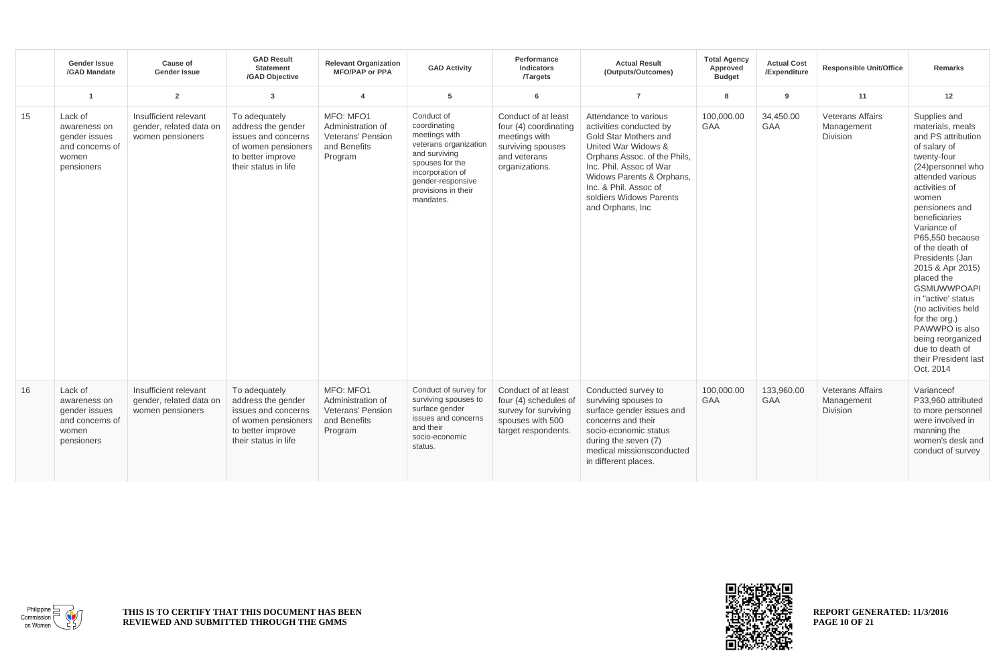|    | <b>Gender Issue</b><br>/GAD Mandate                                                | Cause of<br><b>Gender Issue</b>                                      | <b>GAD Result</b><br><b>Statement</b><br>/GAD Objective                                                                        | <b>Relevant Organization</b><br><b>MFO/PAP or PPA</b>                          | <b>GAD Activity</b>                                                                                                                                                                   | Performance<br><b>Indicators</b><br><b>Targets</b>                                                                   | <b>Actual Result</b><br>(Outputs/Outcomes)                                                                                                                                                                                                                        | <b>Total Agency</b><br>Approved<br><b>Budget</b> | <b>Actual Cost</b><br>/Expenditure | <b>Responsible Unit/Office</b>                           | <b>Remarks</b>                                                                                                                                                                                                                                                                                                                                                                                                                                                                            |
|----|------------------------------------------------------------------------------------|----------------------------------------------------------------------|--------------------------------------------------------------------------------------------------------------------------------|--------------------------------------------------------------------------------|---------------------------------------------------------------------------------------------------------------------------------------------------------------------------------------|----------------------------------------------------------------------------------------------------------------------|-------------------------------------------------------------------------------------------------------------------------------------------------------------------------------------------------------------------------------------------------------------------|--------------------------------------------------|------------------------------------|----------------------------------------------------------|-------------------------------------------------------------------------------------------------------------------------------------------------------------------------------------------------------------------------------------------------------------------------------------------------------------------------------------------------------------------------------------------------------------------------------------------------------------------------------------------|
|    | 1                                                                                  | $\overline{2}$                                                       | 3                                                                                                                              | $\overline{a}$                                                                 | 5                                                                                                                                                                                     | 6                                                                                                                    | $\overline{7}$                                                                                                                                                                                                                                                    | 8                                                | -9                                 | 11                                                       | 12                                                                                                                                                                                                                                                                                                                                                                                                                                                                                        |
| 15 | Lack of<br>awareness on<br>gender issues<br>and concerns of<br>women<br>pensioners | Insufficient relevant<br>gender, related data on<br>women pensioners | To adequately<br>address the gender<br>issues and concerns<br>of women pensioners<br>to better improve<br>their status in life | MFO: MFO1<br>Administration of<br>Veterans' Pension<br>and Benefits<br>Program | Conduct of<br>coordinating<br>meetings with<br>veterans organization<br>and surviving<br>spouses for the<br>incorporation of<br>gender-responsive<br>provisions in their<br>mandates. | Conduct of at least<br>four (4) coordinating<br>meetings with<br>surviving spouses<br>and veterans<br>organizations. | Attendance to various<br>activities conducted by<br>Gold Star Mothers and<br>United War Widows &<br>Orphans Assoc. of the Phils,<br>Inc. Phil. Assoc of War<br>Widows Parents & Orphans,<br>Inc. & Phil. Assoc of<br>soldiers Widows Parents<br>and Orphans, Inc. | 100,000.00<br><b>GAA</b>                         | 34,450.00<br><b>GAA</b>            | <b>Veterans Affairs</b><br>Management<br>Division        | Supplies and<br>materials, meals<br>and PS attribution<br>of salary of<br>twenty-four<br>(24) personnel who<br>attended various<br>activities of<br>women<br>pensioners and<br>beneficiaries<br>Variance of<br>P65,550 because<br>of the death of<br>Presidents (Jan<br>2015 & Apr 2015)<br>placed the<br><b>GSMUWWPOAPI</b><br>in "active' status<br>(no activities held<br>for the org.)<br>PAWWPO is also<br>being reorganized<br>due to death of<br>their President last<br>Oct. 2014 |
| 16 | Lack of<br>awareness on<br>gender issues<br>and concerns of<br>women<br>pensioners | Insufficient relevant<br>gender, related data on<br>women pensioners | To adequately<br>address the gender<br>issues and concerns<br>of women pensioners<br>to better improve<br>their status in life | MFO: MFO1<br>Administration of<br>Veterans' Pension<br>and Benefits<br>Program | Conduct of survey for<br>surviving spouses to<br>surface gender<br>issues and concerns<br>and their<br>socio-economic<br>status.                                                      | Conduct of at least<br>four (4) schedules of<br>survey for surviving<br>spouses with 500<br>target respondents.      | Conducted survey to<br>surviving spouses to<br>surface gender issues and<br>concerns and their<br>socio-economic status<br>during the seven (7)<br>medical missionsconducted<br>in different places.                                                              | 100,000.00<br><b>GAA</b>                         | 133,960.00<br><b>GAA</b>           | <b>Veterans Affairs</b><br>Management<br><b>Division</b> | Varianceof<br>P33,960 attributed<br>to more personnel<br>were involved in<br>manning the<br>women's desk and<br>conduct of survey                                                                                                                                                                                                                                                                                                                                                         |



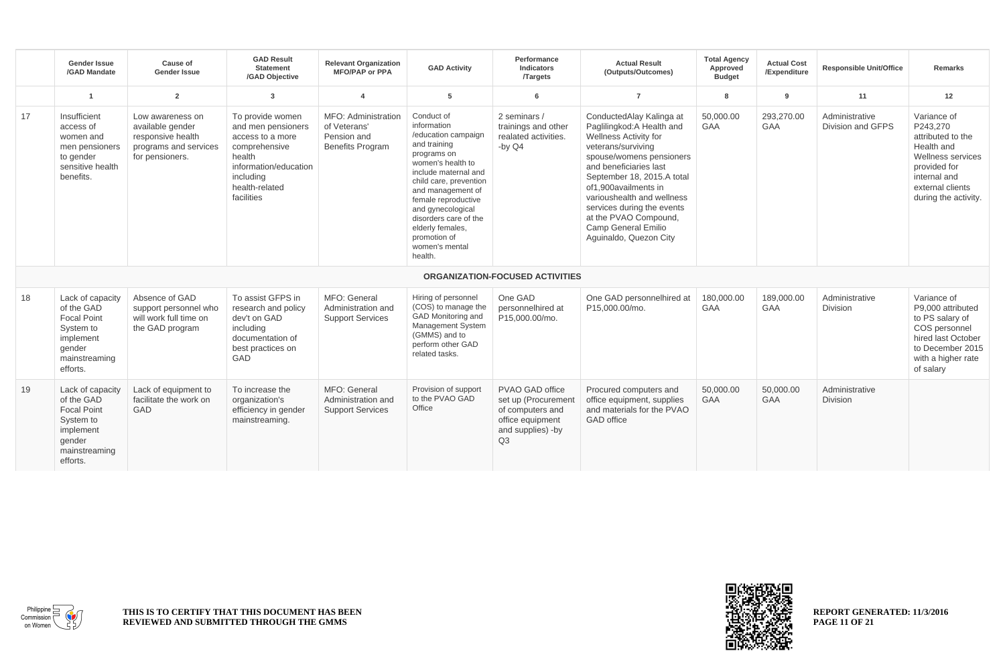|    | <b>Gender Issue</b><br>/GAD Mandate                                                                                   | Cause of<br><b>Gender Issue</b>                                                                       | <b>GAD Result</b><br><b>Statement</b><br>/GAD Objective                                                                                                     | <b>Relevant Organization</b><br><b>MFO/PAP or PPA</b>                         | <b>GAD Activity</b>                                                                                                                                                                                                                                                                                               | Performance<br><b>Indicators</b><br><b>Targets</b>                                                        | <b>Actual Result</b><br>(Outputs/Outcomes)                                                                                                                                                                                                                                                                                                                     | <b>Total Agency</b><br>Approved<br><b>Budget</b> | <b>Actual Cost</b><br>/Expenditure | <b>Responsible Unit/Office</b>      | <b>Remarks</b>                                                                                                                                              |
|----|-----------------------------------------------------------------------------------------------------------------------|-------------------------------------------------------------------------------------------------------|-------------------------------------------------------------------------------------------------------------------------------------------------------------|-------------------------------------------------------------------------------|-------------------------------------------------------------------------------------------------------------------------------------------------------------------------------------------------------------------------------------------------------------------------------------------------------------------|-----------------------------------------------------------------------------------------------------------|----------------------------------------------------------------------------------------------------------------------------------------------------------------------------------------------------------------------------------------------------------------------------------------------------------------------------------------------------------------|--------------------------------------------------|------------------------------------|-------------------------------------|-------------------------------------------------------------------------------------------------------------------------------------------------------------|
|    | $\mathbf{1}$                                                                                                          | $\overline{2}$                                                                                        | 3                                                                                                                                                           | $\overline{4}$                                                                | 5                                                                                                                                                                                                                                                                                                                 | 6                                                                                                         | $\overline{7}$                                                                                                                                                                                                                                                                                                                                                 | 8                                                | 9                                  | 11                                  | 12                                                                                                                                                          |
| 17 | Insufficient<br>access of<br>women and<br>men pensioners<br>to gender<br>sensitive health<br>benefits.                | Low awareness on<br>available gender<br>responsive health<br>programs and services<br>for pensioners. | To provide women<br>and men pensioners<br>access to a more<br>comprehensive<br>health<br>information/education<br>including<br>health-related<br>facilities | MFO: Administration<br>of Veterans'<br>Pension and<br><b>Benefits Program</b> | Conduct of<br>information<br>/education campaign<br>and training<br>programs on<br>women's health to<br>include maternal and<br>child care, prevention<br>and management of<br>female reproductive<br>and gynecological<br>disorders care of the<br>elderly females,<br>promotion of<br>women's mental<br>health. | 2 seminars /<br>trainings and other<br>realated activities.<br>-by $Q4$                                   | ConductedAlay Kalinga at<br>Paglilingkod: A Health and<br><b>Wellness Activity for</b><br>veterans/surviving<br>spouse/womens pensioners<br>and beneficiaries last<br>September 18, 2015.A total<br>of1.900availments in<br>varioushealth and wellness<br>services during the events<br>at the PVAO Compound,<br>Camp General Emilio<br>Aguinaldo, Quezon City | 50.000.00<br><b>GAA</b>                          | 293,270.00<br><b>GAA</b>           | Administrative<br>Division and GFPS | Variance of<br>P243,270<br>attributed to the<br>Health and<br>Wellness services<br>provided for<br>internal and<br>external clients<br>during the activity. |
|    |                                                                                                                       |                                                                                                       |                                                                                                                                                             |                                                                               |                                                                                                                                                                                                                                                                                                                   | <b>ORGANIZATION-FOCUSED ACTIVITIES</b>                                                                    |                                                                                                                                                                                                                                                                                                                                                                |                                                  |                                    |                                     |                                                                                                                                                             |
| 18 | Lack of capacity<br>of the GAD<br><b>Focal Point</b><br>System to<br>implement<br>gender<br>mainstreaming<br>efforts. | Absence of GAD<br>support personnel who<br>will work full time on<br>the GAD program                  | To assist GFPS in<br>research and policy<br>dev't on GAD<br>including<br>documentation of<br>best practices on<br>GAD                                       | MFO: General<br>Administration and<br><b>Support Services</b>                 | Hiring of personnel<br>(COS) to manage the<br>GAD Monitoring and<br>Management System<br>(GMMS) and to<br>perform other GAD<br>related tasks.                                                                                                                                                                     | One GAD<br>personnelhired at<br>P15.000.00/mo.                                                            | One GAD personnelhired at<br>P15,000.00/mo.                                                                                                                                                                                                                                                                                                                    | 180.000.00<br><b>GAA</b>                         | 189,000.00<br><b>GAA</b>           | Administrative<br>Division          | Variance of<br>P9.000 attributed<br>to PS salary of<br>COS personnel<br>hired last October<br>to December 2015<br>with a higher rate<br>of salary           |
| 19 | Lack of capacity<br>of the GAD<br><b>Focal Point</b><br>System to<br>implement<br>gender<br>mainstreaming<br>efforts. | Lack of equipment to<br>facilitate the work on<br>GAD                                                 | To increase the<br>organization's<br>efficiency in gender<br>mainstreaming.                                                                                 | MFO: General<br>Administration and<br><b>Support Services</b>                 | Provision of support<br>to the PVAO GAD<br>Office                                                                                                                                                                                                                                                                 | PVAO GAD office<br>set up (Procurement<br>of computers and<br>office equipment<br>and supplies) -by<br>Q3 | Procured computers and<br>office equipment, supplies<br>and materials for the PVAO<br><b>GAD</b> office                                                                                                                                                                                                                                                        | 50.000.00<br><b>GAA</b>                          | 50.000.00<br><b>GAA</b>            | Administrative<br><b>Division</b>   |                                                                                                                                                             |



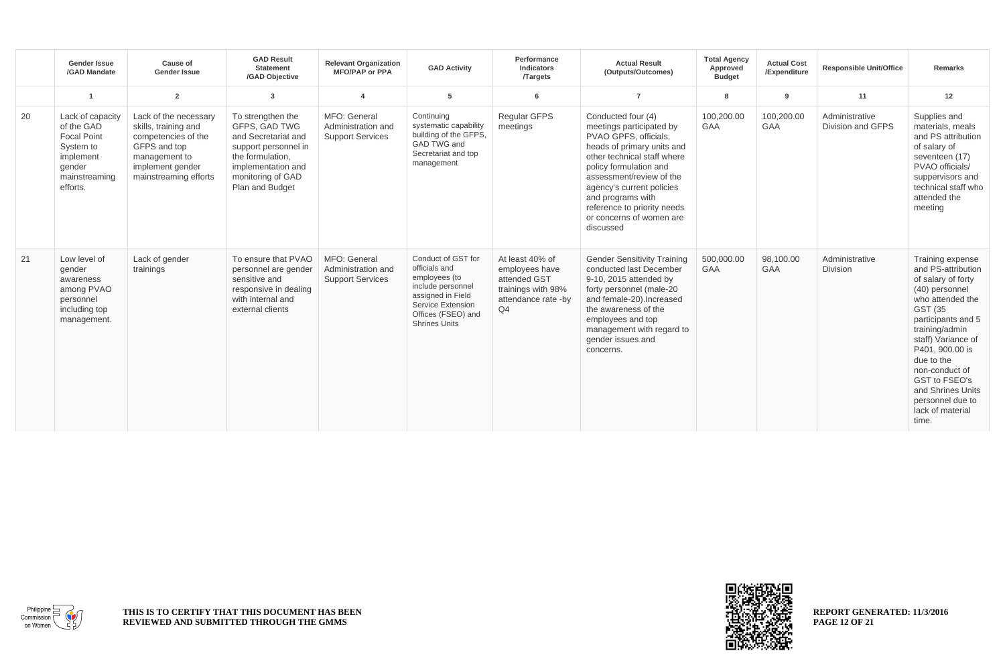|    | <b>Gender Issue</b><br>/GAD Mandate                                                                                   | Cause of<br><b>Gender Issue</b>                                                                                                                    | <b>GAD Result</b><br><b>Statement</b><br>/GAD Objective                                                                                                             | <b>Relevant Organization</b><br><b>MFO/PAP or PPA</b>         | <b>GAD Activity</b>                                                                                                                                               | Performance<br><b>Indicators</b><br><b>Targets</b>                                                               | <b>Actual Result</b><br>(Outputs/Outcomes)                                                                                                                                                                                                                                                                           | <b>Total Agency</b><br>Approved<br><b>Budget</b> | <b>Actual Cost</b><br>/Expenditure | <b>Responsible Unit/Office</b>      | <b>Remarks</b>                                                                                                                                                                                                                                                                                                        |
|----|-----------------------------------------------------------------------------------------------------------------------|----------------------------------------------------------------------------------------------------------------------------------------------------|---------------------------------------------------------------------------------------------------------------------------------------------------------------------|---------------------------------------------------------------|-------------------------------------------------------------------------------------------------------------------------------------------------------------------|------------------------------------------------------------------------------------------------------------------|----------------------------------------------------------------------------------------------------------------------------------------------------------------------------------------------------------------------------------------------------------------------------------------------------------------------|--------------------------------------------------|------------------------------------|-------------------------------------|-----------------------------------------------------------------------------------------------------------------------------------------------------------------------------------------------------------------------------------------------------------------------------------------------------------------------|
|    | -1                                                                                                                    | $\overline{2}$                                                                                                                                     | $\overline{3}$                                                                                                                                                      | $\overline{\mathbf{4}}$                                       | 5                                                                                                                                                                 | 6                                                                                                                | $\overline{7}$                                                                                                                                                                                                                                                                                                       | 8                                                | 9                                  | 11                                  | 12                                                                                                                                                                                                                                                                                                                    |
| 20 | Lack of capacity<br>of the GAD<br><b>Focal Point</b><br>System to<br>implement<br>gender<br>mainstreaming<br>efforts. | Lack of the necessary<br>skills, training and<br>competencies of the<br>GFPS and top<br>management to<br>implement gender<br>mainstreaming efforts | To strengthen the<br>GFPS, GAD TWG<br>and Secretariat and<br>support personnel in<br>the formulation.<br>implementation and<br>monitoring of GAD<br>Plan and Budget | MFO: General<br>Administration and<br><b>Support Services</b> | Continuing<br>systematic capability<br>building of the GFPS.<br>GAD TWG and<br>Secretariat and top<br>management                                                  | Regular GFPS<br>meetings                                                                                         | Conducted four (4)<br>meetings participated by<br>PVAO GPFS, officials.<br>heads of primary units and<br>other technical staff where<br>policy formulation and<br>assessment/review of the<br>agency's current policies<br>and programs with<br>reference to priority needs<br>or concerns of women are<br>discussed | 100,200.00<br><b>GAA</b>                         | 100,200.00<br>GAA                  | Administrative<br>Division and GFPS | Supplies and<br>materials, meals<br>and PS attribution<br>of salary of<br>seventeen (17)<br>PVAO officials/<br>suppervisors and<br>technical staff who<br>attended the<br>meeting                                                                                                                                     |
| 21 | Low level of<br>gender<br>awareness<br>among PVAO<br>personnel<br>including top<br>management.                        | Lack of gender<br>trainings                                                                                                                        | To ensure that PVAO<br>personnel are gender<br>sensitive and<br>responsive in dealing<br>with internal and<br>external clients                                      | MFO: General<br>Administration and<br><b>Support Services</b> | Conduct of GST for<br>officials and<br>employees (to<br>include personnel<br>assigned in Field<br>Service Extension<br>Offices (FSEO) and<br><b>Shrines Units</b> | At least 40% of<br>employees have<br>attended GST<br>trainings with 98%<br>attendance rate -by<br>Q <sub>4</sub> | <b>Gender Sensitivity Training</b><br>conducted last December<br>9-10, 2015 attended by<br>forty personnel (male-20<br>and female-20). Increased<br>the awareness of the<br>employees and top<br>management with regard to<br>gender issues and<br>concerns.                                                         | 500,000.00<br>GAA                                | 98,100.00<br>GAA                   | Administrative<br><b>Division</b>   | Training expense<br>and PS-attribution<br>of salary of forty<br>(40) personnel<br>who attended the<br>GST (35<br>participants and 5<br>training/admin<br>staff) Variance of<br>P401, 900.00 is<br>due to the<br>non-conduct of<br>GST to FSEO's<br>and Shrines Units<br>personnel due to<br>lack of material<br>time. |



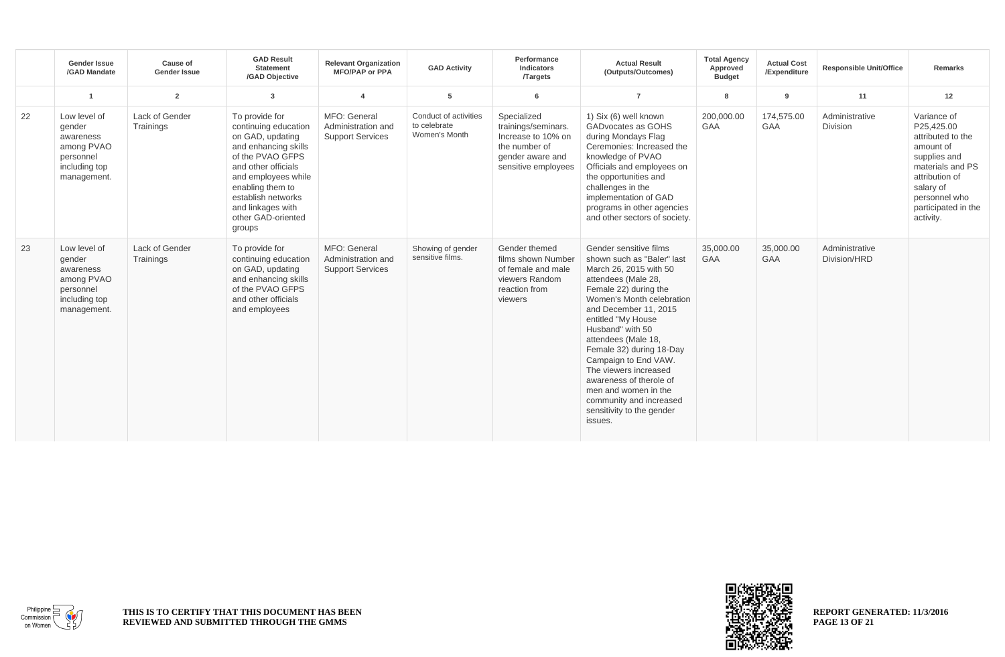|    | Gender Issue<br>/GAD Mandate                                                                   | Cause of<br><b>Gender Issue</b> | <b>GAD Result</b><br><b>Statement</b><br>/GAD Objective                                                                                                                                                                                             | <b>Relevant Organization</b><br><b>MFO/PAP or PPA</b>         | <b>GAD Activity</b>                                    | Performance<br>Indicators<br><b>Targets</b>                                                                          | <b>Actual Result</b><br>(Outputs/Outcomes)                                                                                                                                                                                                                                                                                                                                                                                                               | <b>Total Agency</b><br>Approved<br><b>Budget</b> | <b>Actual Cost</b><br>/Expenditure | <b>Responsible Unit/Office</b> | <b>Remarks</b>                                                                                                                                                                      |
|----|------------------------------------------------------------------------------------------------|---------------------------------|-----------------------------------------------------------------------------------------------------------------------------------------------------------------------------------------------------------------------------------------------------|---------------------------------------------------------------|--------------------------------------------------------|----------------------------------------------------------------------------------------------------------------------|----------------------------------------------------------------------------------------------------------------------------------------------------------------------------------------------------------------------------------------------------------------------------------------------------------------------------------------------------------------------------------------------------------------------------------------------------------|--------------------------------------------------|------------------------------------|--------------------------------|-------------------------------------------------------------------------------------------------------------------------------------------------------------------------------------|
|    |                                                                                                | $\overline{2}$                  | $\mathbf{3}$                                                                                                                                                                                                                                        | $\overline{\mathbf{4}}$                                       | 5                                                      | 6                                                                                                                    | $\overline{7}$                                                                                                                                                                                                                                                                                                                                                                                                                                           | 8                                                | 9                                  | 11                             | 12                                                                                                                                                                                  |
| 22 | Low level of<br>gender<br>awareness<br>among PVAO<br>personnel<br>including top<br>management. | Lack of Gender<br>Trainings     | To provide for<br>continuing education<br>on GAD, updating<br>and enhancing skills<br>of the PVAO GFPS<br>and other officials<br>and employees while<br>enabling them to<br>establish networks<br>and linkages with<br>other GAD-oriented<br>groups | MFO: General<br>Administration and<br><b>Support Services</b> | Conduct of activities<br>to celebrate<br>Women's Month | Specialized<br>trainings/seminars.<br>Increase to 10% on<br>the number of<br>gender aware and<br>sensitive employees | 1) Six (6) well known<br>GADvocates as GOHS<br>during Mondays Flag<br>Ceremonies: Increased the<br>knowledge of PVAO<br>Officials and employees on<br>the opportunities and<br>challenges in the<br>implementation of GAD<br>programs in other agencies<br>and other sectors of society.                                                                                                                                                                 | 200,000.00<br>GAA                                | 174,575.00<br><b>GAA</b>           | Administrative<br>Division     | Variance of<br>P25,425.00<br>attributed to the<br>amount of<br>supplies and<br>materials and PS<br>attribution of<br>salary of<br>personnel who<br>participated in the<br>activity. |
| 23 | Low level of<br>gender<br>awareness<br>among PVAO<br>personnel<br>including top<br>management. | Lack of Gender<br>Trainings     | To provide for<br>continuing education<br>on GAD, updating<br>and enhancing skills<br>of the PVAO GFPS<br>and other officials<br>and employees                                                                                                      | MFO: General<br>Administration and<br><b>Support Services</b> | Showing of gender<br>sensitive films.                  | Gender themed<br>films shown Number<br>of female and male<br>viewers Random<br>reaction from<br>viewers              | Gender sensitive films<br>shown such as "Baler" last<br>March 26, 2015 with 50<br>attendees (Male 28,<br>Female 22) during the<br>Women's Month celebration<br>and December 11, 2015<br>entitled "My House<br>Husband" with 50<br>attendees (Male 18,<br>Female 32) during 18-Day<br>Campaign to End VAW.<br>The viewers increased<br>awareness of therole of<br>men and women in the<br>community and increased<br>sensitivity to the gender<br>issues. | 35,000.00<br><b>GAA</b>                          | 35,000,00<br><b>GAA</b>            | Administrative<br>Division/HRD |                                                                                                                                                                                     |



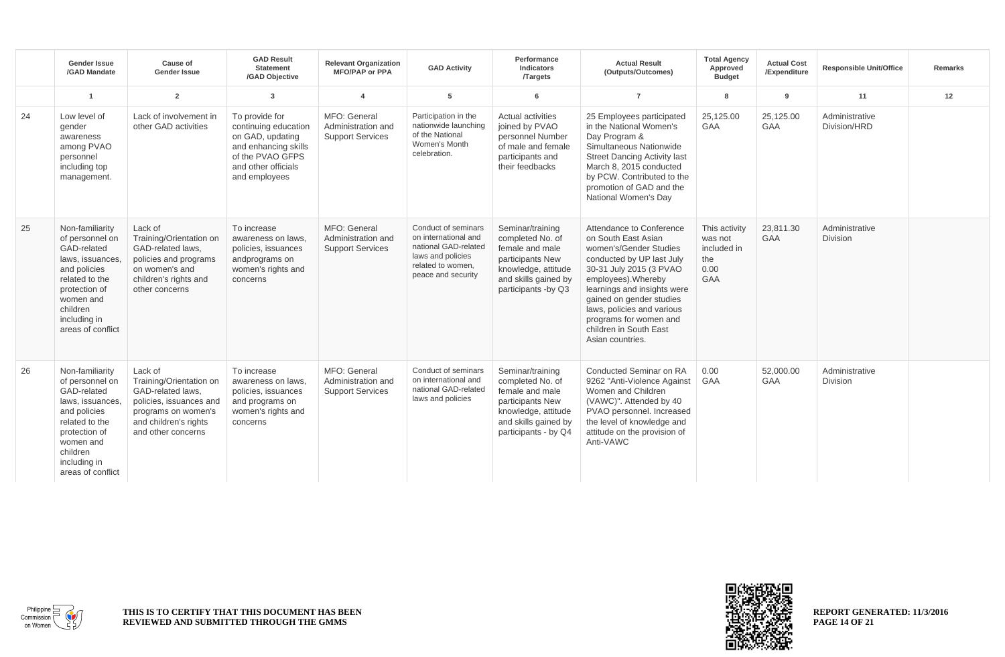|    | <b>Gender Issue</b><br>/GAD Mandate                                                                                                                                                    | Cause of<br><b>Gender Issue</b>                                                                                                                          | <b>GAD Result</b><br><b>Statement</b><br>/GAD Objective                                                                                        | <b>Relevant Organization</b><br><b>MFO/PAP or PPA</b>         | <b>GAD Activity</b>                                                                                                                 | Performance<br>Indicators<br><b>Targets</b>                                                                                                        | <b>Actual Result</b><br>(Outputs/Outcomes)                                                                                                                                                                                                                                                                                | <b>Total Agency</b><br>Approved<br><b>Budget</b>                     | <b>Actual Cost</b><br>/Expenditure | <b>Responsible Unit/Office</b> | <b>Remarks</b> |
|----|----------------------------------------------------------------------------------------------------------------------------------------------------------------------------------------|----------------------------------------------------------------------------------------------------------------------------------------------------------|------------------------------------------------------------------------------------------------------------------------------------------------|---------------------------------------------------------------|-------------------------------------------------------------------------------------------------------------------------------------|----------------------------------------------------------------------------------------------------------------------------------------------------|---------------------------------------------------------------------------------------------------------------------------------------------------------------------------------------------------------------------------------------------------------------------------------------------------------------------------|----------------------------------------------------------------------|------------------------------------|--------------------------------|----------------|
|    | $\overline{1}$                                                                                                                                                                         | $\overline{2}$                                                                                                                                           | $\overline{3}$                                                                                                                                 | $\overline{4}$                                                | 5                                                                                                                                   | 6                                                                                                                                                  | $\overline{7}$                                                                                                                                                                                                                                                                                                            | 8                                                                    | 9                                  | 11                             | 12             |
| 24 | Low level of<br>gender<br>awareness<br>among PVAO<br>personnel<br>including top<br>management.                                                                                         | Lack of involvement in<br>other GAD activities                                                                                                           | To provide for<br>continuing education<br>on GAD, updating<br>and enhancing skills<br>of the PVAO GFPS<br>and other officials<br>and employees | MFO: General<br>Administration and<br><b>Support Services</b> | Participation in the<br>nationwide launching<br>of the National<br>Women's Month<br>celebration.                                    | <b>Actual activities</b><br>joined by PVAO<br>personnel Number<br>of male and female<br>participants and<br>their feedbacks                        | 25 Employees participated<br>in the National Women's<br>Day Program &<br>Simultaneous Nationwide<br><b>Street Dancing Activity last</b><br>March 8, 2015 conducted<br>by PCW. Contributed to the<br>promotion of GAD and the<br>National Women's Day                                                                      | 25,125.00<br><b>GAA</b>                                              | 25,125.00<br><b>GAA</b>            | Administrative<br>Division/HRD |                |
| 25 | Non-familiarity<br>of personnel on<br>GAD-related<br>laws, issuances.<br>and policies<br>related to the<br>protection of<br>women and<br>children<br>including in<br>areas of conflict | Lack of<br>Training/Orientation on<br>GAD-related laws,<br>policies and programs<br>on women's and<br>children's rights and<br>other concerns            | To increase<br>awareness on laws,<br>policies, issuances<br>andprograms on<br>women's rights and<br>concerns                                   | MFO: General<br>Administration and<br><b>Support Services</b> | Conduct of seminars<br>on international and<br>national GAD-related<br>laws and policies<br>related to women,<br>peace and security | Seminar/training<br>completed No. of<br>female and male<br>participants New<br>knowledge, attitude<br>and skills gained by<br>participants -by Q3  | Attendance to Conference<br>on South East Asian<br>women's/Gender Studies<br>conducted by UP last July<br>30-31 July 2015 (3 PVAO<br>employees). Whereby<br>learnings and insights were<br>gained on gender studies<br>laws, policies and various<br>programs for women and<br>children in South East<br>Asian countries. | This activity<br>was not<br>included in<br>the<br>0.00<br><b>GAA</b> | 23,811.30<br><b>GAA</b>            | Administrative<br>Division     |                |
| 26 | Non-familiarity<br>of personnel on<br>GAD-related<br>laws, issuances,<br>and policies<br>related to the<br>protection of<br>women and<br>children<br>including in<br>areas of conflict | Lack of<br>Training/Orientation on<br>GAD-related laws.<br>policies, issuances and<br>programs on women's<br>and children's rights<br>and other concerns | To increase<br>awareness on laws,<br>policies, issuances<br>and programs on<br>women's rights and<br>concerns                                  | MFO: General<br>Administration and<br><b>Support Services</b> | Conduct of seminars<br>on international and<br>national GAD-related<br>laws and policies                                            | Seminar/training<br>completed No. of<br>female and male<br>participants New<br>knowledge, attitude<br>and skills gained by<br>participants - by Q4 | Conducted Seminar on RA<br>9262 "Anti-Violence Against<br>Women and Children<br>(VAWC)". Attended by 40<br>PVAO personnel. Increased<br>the level of knowledge and<br>attitude on the provision of<br>Anti-VAWC                                                                                                           | 0.00<br><b>GAA</b>                                                   | 52.000.00<br>GAA                   | Administrative<br>Division     |                |



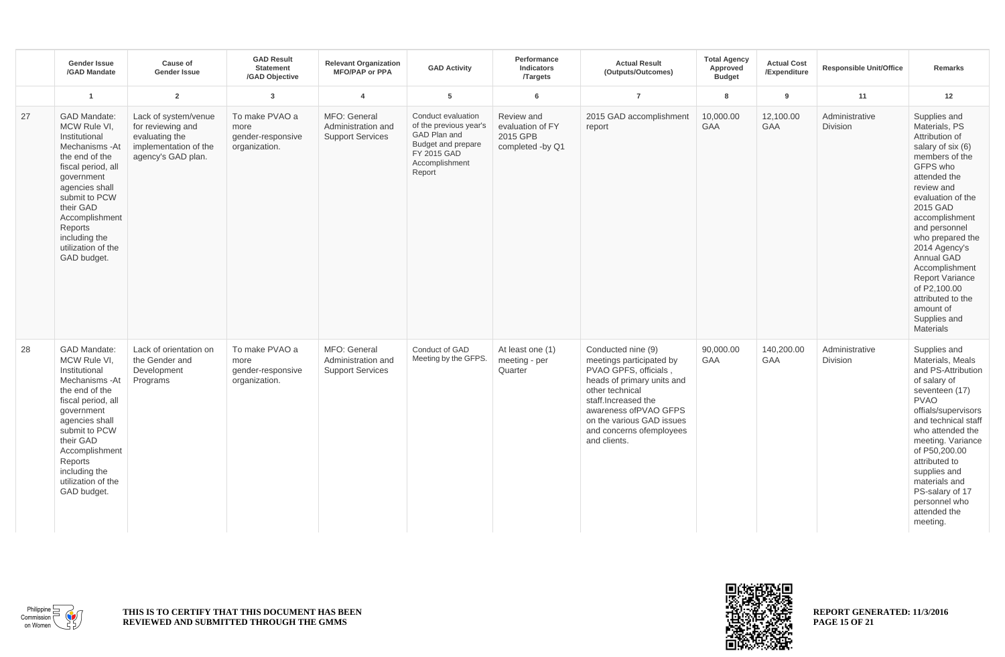|    | <b>Gender Issue</b><br>/GAD Mandate                                                                                                                                                                                                                              | Cause of<br><b>Gender Issue</b>                                                                            | <b>GAD Result</b><br><b>Statement</b><br>/GAD Objective      | <b>Relevant Organization</b><br><b>MFO/PAP or PPA</b>         | <b>GAD Activity</b>                                                                                                           | Performance<br><b>Indicators</b><br><b>Targets</b>             | <b>Actual Result</b><br>(Outputs/Outcomes)                                                                                                                                                                                                         | <b>Total Agency</b><br>Approved<br><b>Budget</b> | <b>Actual Cost</b><br>/Expenditure | <b>Responsible Unit/Office</b> | <b>Remarks</b>                                                                                                                                                                                                                                                                                                                                                                            |
|----|------------------------------------------------------------------------------------------------------------------------------------------------------------------------------------------------------------------------------------------------------------------|------------------------------------------------------------------------------------------------------------|--------------------------------------------------------------|---------------------------------------------------------------|-------------------------------------------------------------------------------------------------------------------------------|----------------------------------------------------------------|----------------------------------------------------------------------------------------------------------------------------------------------------------------------------------------------------------------------------------------------------|--------------------------------------------------|------------------------------------|--------------------------------|-------------------------------------------------------------------------------------------------------------------------------------------------------------------------------------------------------------------------------------------------------------------------------------------------------------------------------------------------------------------------------------------|
|    | $\mathbf{1}$                                                                                                                                                                                                                                                     | $\overline{2}$                                                                                             | $\overline{3}$                                               | $\overline{a}$                                                | 5                                                                                                                             | 6                                                              | $\overline{7}$                                                                                                                                                                                                                                     | 8                                                | 9                                  | 11                             | 12                                                                                                                                                                                                                                                                                                                                                                                        |
| 27 | <b>GAD Mandate:</b><br>MCW Rule VI.<br>Institutional<br>Mechanisms - At<br>the end of the<br>fiscal period, all<br>government<br>agencies shall<br>submit to PCW<br>their GAD<br>Accomplishment<br>Reports<br>including the<br>utilization of the<br>GAD budget. | Lack of system/venue<br>for reviewing and<br>evaluating the<br>implementation of the<br>agency's GAD plan. | To make PVAO a<br>more<br>gender-responsive<br>organization. | MFO: General<br>Administration and<br><b>Support Services</b> | Conduct evaluation<br>of the previous year's<br>GAD Plan and<br>Budget and prepare<br>FY 2015 GAD<br>Accomplishment<br>Report | Review and<br>evaluation of FY<br>2015 GPB<br>completed -by Q1 | 2015 GAD accomplishment<br>report                                                                                                                                                                                                                  | 10,000.00<br>GAA                                 | 12,100.00<br>GAA                   | Administrative<br>Division     | Supplies and<br>Materials, PS<br>Attribution of<br>salary of six (6)<br>members of the<br>GFPS who<br>attended the<br>review and<br>evaluation of the<br>2015 GAD<br>accomplishment<br>and personnel<br>who prepared the<br>2014 Agency's<br>Annual GAD<br>Accomplishment<br><b>Report Variance</b><br>of P2,100.00<br>attributed to the<br>amount of<br>Supplies and<br><b>Materials</b> |
| 28 | <b>GAD Mandate:</b><br>MCW Rule VI,<br>Institutional<br>Mechanisms - At<br>the end of the<br>fiscal period, all<br>government<br>agencies shall<br>submit to PCW<br>their GAD<br>Accomplishment<br>Reports<br>including the<br>utilization of the<br>GAD budget. | Lack of orientation on<br>the Gender and<br>Development<br>Programs                                        | To make PVAO a<br>more<br>gender-responsive<br>organization. | MFO: General<br>Administration and<br><b>Support Services</b> | Conduct of GAD<br>Meeting by the GFPS.                                                                                        | At least one (1)<br>meeting - per<br>Quarter                   | Conducted nine (9)<br>meetings participated by<br>PVAO GPFS, officials,<br>heads of primary units and<br>other technical<br>staff.Increased the<br>awareness of PVAO GFPS<br>on the various GAD issues<br>and concerns ofemployees<br>and clients. | 90,000.00<br><b>GAA</b>                          | 140,200.00<br><b>GAA</b>           | Administrative<br>Division     | Supplies and<br>Materials, Meals<br>and PS-Attribution<br>of salary of<br>seventeen (17)<br><b>PVAO</b><br>offials/supervisors<br>and technical staff<br>who attended the<br>meeting. Variance<br>of P50,200.00<br>attributed to<br>supplies and<br>materials and<br>PS-salary of 17<br>personnel who<br>attended the<br>meeting.                                                         |



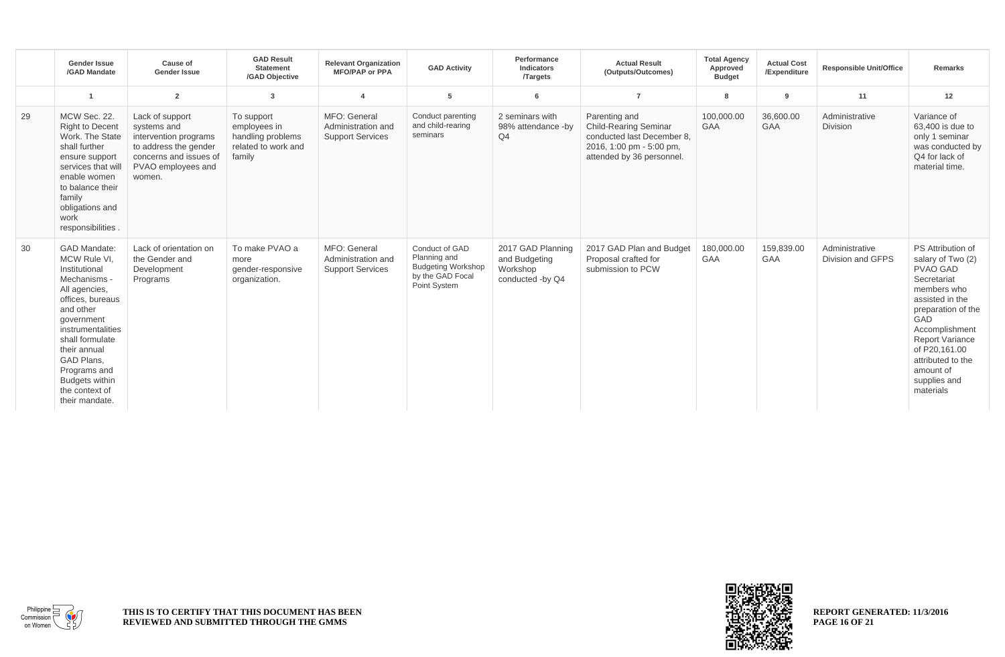|    | <b>Gender Issue</b><br>/GAD Mandate                                                                                                                                                                                                                                                     | Cause of<br><b>Gender Issue</b>                                                                                                            | <b>GAD Result</b><br><b>Statement</b><br>/GAD Objective                          | <b>Relevant Organization</b><br><b>MFO/PAP or PPA</b>         | <b>GAD Activity</b>                                                                             | Performance<br><b>Indicators</b><br><b>Targets</b>                 | <b>Actual Result</b><br>(Outputs/Outcomes)                                                                                           | <b>Total Agency</b><br>Approved<br><b>Budget</b> | <b>Actual Cost</b><br>/Expenditure | <b>Responsible Unit/Office</b>      | <b>Remarks</b>                                                                                                                                                                                                                                                      |
|----|-----------------------------------------------------------------------------------------------------------------------------------------------------------------------------------------------------------------------------------------------------------------------------------------|--------------------------------------------------------------------------------------------------------------------------------------------|----------------------------------------------------------------------------------|---------------------------------------------------------------|-------------------------------------------------------------------------------------------------|--------------------------------------------------------------------|--------------------------------------------------------------------------------------------------------------------------------------|--------------------------------------------------|------------------------------------|-------------------------------------|---------------------------------------------------------------------------------------------------------------------------------------------------------------------------------------------------------------------------------------------------------------------|
|    |                                                                                                                                                                                                                                                                                         | $\overline{2}$                                                                                                                             | $\mathbf{3}$                                                                     | $\overline{4}$                                                | 5                                                                                               | 6                                                                  | $\overline{7}$                                                                                                                       | 8                                                | 9                                  | 11                                  | 12                                                                                                                                                                                                                                                                  |
| 29 | MCW Sec. 22.<br><b>Right to Decent</b><br>Work. The State<br>shall further<br>ensure support<br>services that will<br>enable women<br>to balance their<br>family<br>obligations and<br>work<br>responsibilities                                                                         | Lack of support<br>systems and<br>intervention programs<br>to address the gender<br>concerns and issues of<br>PVAO employees and<br>women. | To support<br>employees in<br>handling problems<br>related to work and<br>family | MFO: General<br>Administration and<br><b>Support Services</b> | Conduct parenting<br>and child-rearing<br>seminars                                              | 2 seminars with<br>98% attendance -by<br>Q <sub>4</sub>            | Parenting and<br><b>Child-Rearing Seminar</b><br>conducted last December 8.<br>2016, 1:00 pm - 5:00 pm,<br>attended by 36 personnel. | 100,000.00<br><b>GAA</b>                         | 36,600.00<br><b>GAA</b>            | Administrative<br><b>Division</b>   | Variance of<br>63,400 is due to<br>only 1 seminar<br>was conducted by<br>Q4 for lack of<br>material time.                                                                                                                                                           |
| 30 | <b>GAD Mandate:</b><br>MCW Rule VI.<br>Institutional<br>Mechanisms -<br>All agencies,<br>offices, bureaus<br>and other<br>government<br>instrumentalities<br>shall formulate<br>their annual<br>GAD Plans.<br>Programs and<br><b>Budgets within</b><br>the context of<br>their mandate. | Lack of orientation on<br>the Gender and<br>Development<br>Programs                                                                        | To make PVAO a<br>more<br>gender-responsive<br>organization.                     | MFO: General<br>Administration and<br><b>Support Services</b> | Conduct of GAD<br>Planning and<br><b>Budgeting Workshop</b><br>by the GAD Focal<br>Point System | 2017 GAD Planning<br>and Budgeting<br>Workshop<br>conducted -by Q4 | 2017 GAD Plan and Budget<br>Proposal crafted for<br>submission to PCW                                                                | 180,000.00<br><b>GAA</b>                         | 159,839.00<br><b>GAA</b>           | Administrative<br>Division and GFPS | PS Attribution of<br>salary of Two (2)<br><b>PVAO GAD</b><br>Secretariat<br>members who<br>assisted in the<br>preparation of the<br>GAD<br>Accomplishment<br><b>Report Variance</b><br>of P20.161.00<br>attributed to the<br>amount of<br>supplies and<br>materials |



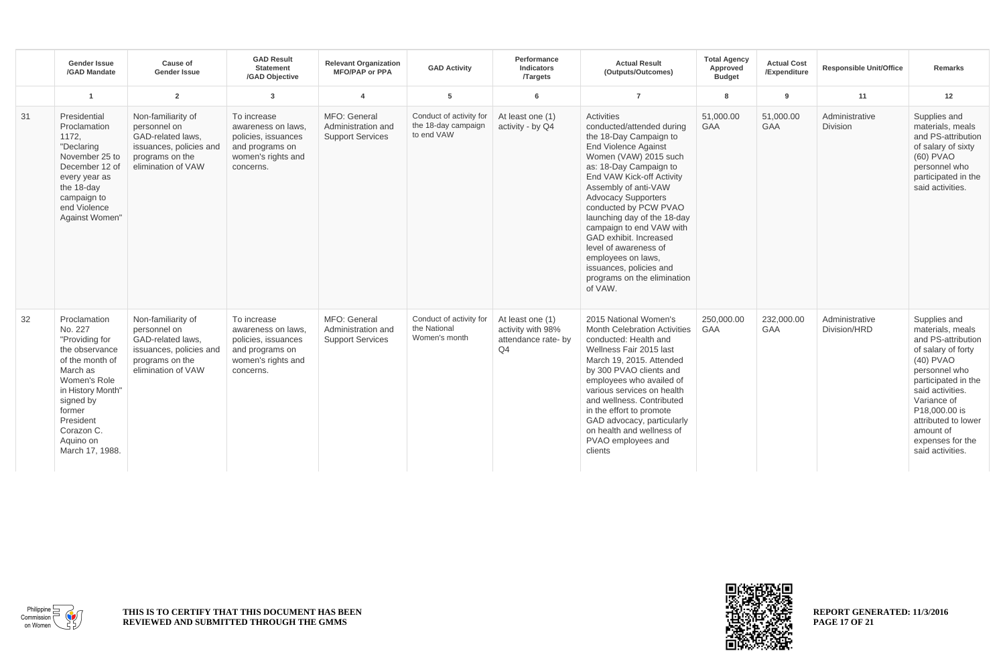|    | <b>Gender Issue</b><br>/GAD Mandate                                                                                                                                                                               | Cause of<br><b>Gender Issue</b>                                                                                             | <b>GAD Result</b><br><b>Statement</b><br>/GAD Objective                                                        | <b>Relevant Organization</b><br><b>MFO/PAP or PPA</b>         | <b>GAD Activity</b>                                          | Performance<br><b>Indicators</b><br><b>Targets</b>                             | <b>Actual Result</b><br>(Outputs/Outcomes)                                                                                                                                                                                                                                                                                                                                                                                                                               | <b>Total Agency</b><br>Approved<br><b>Budget</b> | <b>Actual Cost</b><br>/Expenditure | <b>Responsible Unit/Office</b> | <b>Remarks</b>                                                                                                                                                                                                                                                    |
|----|-------------------------------------------------------------------------------------------------------------------------------------------------------------------------------------------------------------------|-----------------------------------------------------------------------------------------------------------------------------|----------------------------------------------------------------------------------------------------------------|---------------------------------------------------------------|--------------------------------------------------------------|--------------------------------------------------------------------------------|--------------------------------------------------------------------------------------------------------------------------------------------------------------------------------------------------------------------------------------------------------------------------------------------------------------------------------------------------------------------------------------------------------------------------------------------------------------------------|--------------------------------------------------|------------------------------------|--------------------------------|-------------------------------------------------------------------------------------------------------------------------------------------------------------------------------------------------------------------------------------------------------------------|
|    | $\overline{1}$                                                                                                                                                                                                    | $\overline{2}$                                                                                                              | $\overline{3}$                                                                                                 | $\overline{4}$                                                | 5                                                            | 6                                                                              | $\overline{7}$                                                                                                                                                                                                                                                                                                                                                                                                                                                           | $\mathbf{R}$                                     | 9                                  | 11                             | 12                                                                                                                                                                                                                                                                |
| 31 | Presidential<br>Proclamation<br>1172,<br>"Declaring<br>November 25 to<br>December 12 of<br>every year as<br>the 18-day<br>campaign to<br>end Violence<br>Against Women"                                           | Non-familiarity of<br>personnel on<br>GAD-related laws.<br>issuances, policies and<br>programs on the<br>elimination of VAW | To increase<br>awareness on laws.<br>policies, issuances<br>and programs on<br>women's rights and<br>concerns. | MFO: General<br>Administration and<br><b>Support Services</b> | Conduct of activity for<br>the 18-day campaign<br>to end VAW | At least one (1)<br>activity - by Q4                                           | Activities<br>conducted/attended during<br>the 18-Day Campaign to<br><b>End Violence Against</b><br>Women (VAW) 2015 such<br>as: 18-Day Campaign to<br>End VAW Kick-off Activity<br>Assembly of anti-VAW<br><b>Advocacy Supporters</b><br>conducted by PCW PVAO<br>launching day of the 18-day<br>campaign to end VAW with<br>GAD exhibit. Increased<br>level of awareness of<br>employees on laws,<br>issuances, policies and<br>programs on the elimination<br>of VAW. | 51,000.00<br><b>GAA</b>                          | 51,000.00<br><b>GAA</b>            | Administrative<br>Division     | Supplies and<br>materials, meals<br>and PS-attribution<br>of salary of sixty<br>(60) PVAO<br>personnel who<br>participated in the<br>said activities.                                                                                                             |
| 32 | Proclamation<br>No. 227<br>"Providing for<br>the observance<br>of the month of<br>March as<br>Women's Role<br>in History Month"<br>signed by<br>former<br>President<br>Corazon C.<br>Aquino on<br>March 17, 1988. | Non-familiarity of<br>personnel on<br>GAD-related laws,<br>issuances, policies and<br>programs on the<br>elimination of VAW | To increase<br>awareness on laws.<br>policies, issuances<br>and programs on<br>women's rights and<br>concerns. | MFO: General<br>Administration and<br><b>Support Services</b> | Conduct of activity for<br>the National<br>Women's month     | At least one (1)<br>activity with 98%<br>attendance rate- by<br>Q <sub>4</sub> | 2015 National Women's<br><b>Month Celebration Activities</b><br>conducted: Health and<br>Wellness Fair 2015 last<br>March 19, 2015. Attended<br>by 300 PVAO clients and<br>employees who availed of<br>various services on health<br>and wellness, Contributed<br>in the effort to promote<br>GAD advocacy, particularly<br>on health and wellness of<br>PVAO employees and<br>clients                                                                                   | 250,000.00<br><b>GAA</b>                         | 232,000.00<br><b>GAA</b>           | Administrative<br>Division/HRD | Supplies and<br>materials, meals<br>and PS-attribution<br>of salary of forty<br>(40) PVAO<br>personnel who<br>participated in the<br>said activities.<br>Variance of<br>P18,000,00 is<br>attributed to lower<br>amount of<br>expenses for the<br>said activities. |



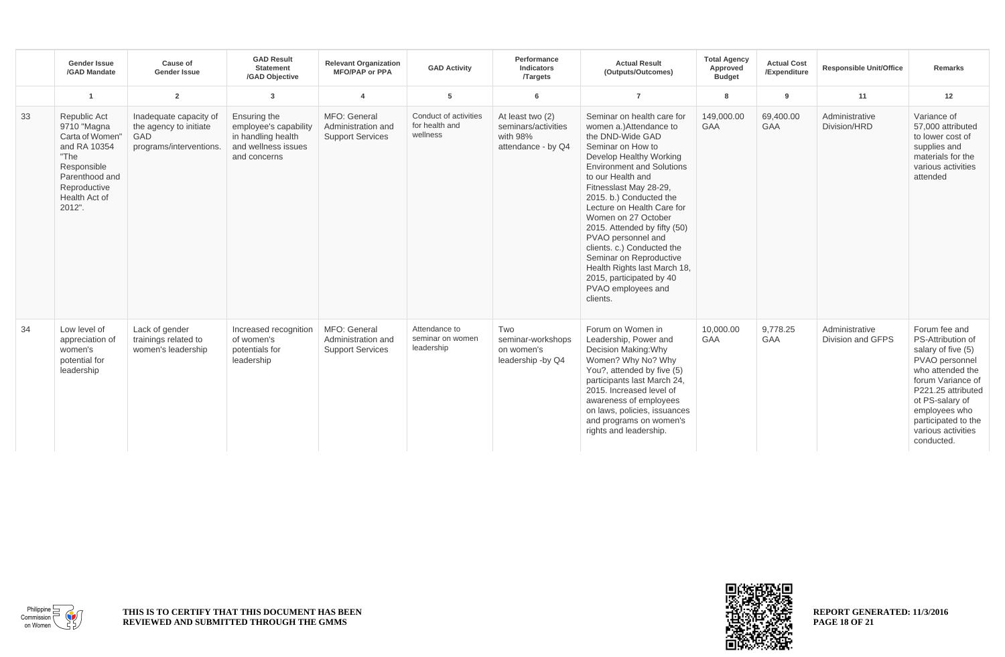|    | <b>Gender Issue</b><br>/GAD Mandate                                                                                                                | Cause of<br><b>Gender Issue</b>                                                    | <b>GAD Result</b><br><b>Statement</b><br>/GAD Objective                                            | <b>Relevant Organization</b><br><b>MFO/PAP or PPA</b>         | <b>GAD Activity</b>                                 | Performance<br><b>Indicators</b><br><b>Targets</b>                        | <b>Actual Result</b><br>(Outputs/Outcomes)                                                                                                                                                                                                                                                                                                                                                                                                                                                               | <b>Total Agency</b><br>Approved<br><b>Budget</b> | <b>Actual Cost</b><br>/Expenditure | <b>Responsible Unit/Office</b>      | <b>Remarks</b>                                                                                                                                                                                                                           |
|----|----------------------------------------------------------------------------------------------------------------------------------------------------|------------------------------------------------------------------------------------|----------------------------------------------------------------------------------------------------|---------------------------------------------------------------|-----------------------------------------------------|---------------------------------------------------------------------------|----------------------------------------------------------------------------------------------------------------------------------------------------------------------------------------------------------------------------------------------------------------------------------------------------------------------------------------------------------------------------------------------------------------------------------------------------------------------------------------------------------|--------------------------------------------------|------------------------------------|-------------------------------------|------------------------------------------------------------------------------------------------------------------------------------------------------------------------------------------------------------------------------------------|
|    |                                                                                                                                                    | $\overline{2}$                                                                     | 3                                                                                                  | $\overline{4}$                                                | 5                                                   | 6                                                                         | $\overline{7}$                                                                                                                                                                                                                                                                                                                                                                                                                                                                                           | 8                                                | 9                                  | 11                                  | 12                                                                                                                                                                                                                                       |
| 33 | Republic Act<br>9710 "Magna<br>Carta of Women"<br>and RA 10354<br>"The<br>Responsible<br>Parenthood and<br>Reproductive<br>Health Act of<br>2012". | Inadequate capacity of<br>the agency to initiate<br>GAD<br>programs/interventions. | Ensuring the<br>employee's capability<br>in handling health<br>and wellness issues<br>and concerns | MFO: General<br>Administration and<br><b>Support Services</b> | Conduct of activities<br>for health and<br>wellness | At least two (2)<br>seminars/activities<br>with 98%<br>attendance - by Q4 | Seminar on health care for<br>women a.)Attendance to<br>the DND-Wide GAD<br>Seminar on How to<br>Develop Healthy Working<br><b>Environment and Solutions</b><br>to our Health and<br>Fitnesslast May 28-29,<br>2015. b.) Conducted the<br>Lecture on Health Care for<br>Women on 27 October<br>2015. Attended by fifty (50)<br>PVAO personnel and<br>clients. c.) Conducted the<br>Seminar on Reproductive<br>Health Rights last March 18,<br>2015, participated by 40<br>PVAO employees and<br>clients. | 149.000.00<br><b>GAA</b>                         | 69.400.00<br><b>GAA</b>            | Administrative<br>Division/HRD      | Variance of<br>57,000 attributed<br>to lower cost of<br>supplies and<br>materials for the<br>various activities<br>attended                                                                                                              |
| 34 | Low level of<br>appreciation of<br>women's<br>potential for<br>leadership                                                                          | Lack of gender<br>trainings related to<br>women's leadership                       | Increased recognition<br>of women's<br>potentials for<br>leadership                                | MFO: General<br>Administration and<br><b>Support Services</b> | Attendance to<br>seminar on women<br>leadership     | Two<br>seminar-workshops<br>on women's<br>leadership -by Q4               | Forum on Women in<br>Leadership, Power and<br>Decision Making: Why<br>Women? Why No? Why<br>You?, attended by five (5)<br>participants last March 24,<br>2015. Increased level of<br>awareness of employees<br>on laws, policies, issuances<br>and programs on women's<br>rights and leadership.                                                                                                                                                                                                         | 10,000.00<br>GAA                                 | 9,778.25<br><b>GAA</b>             | Administrative<br>Division and GFPS | Forum fee and<br>PS-Attribution of<br>salary of five (5)<br>PVAO personnel<br>who attended the<br>forum Variance of<br>P221.25 attributed<br>ot PS-salary of<br>employees who<br>participated to the<br>various activities<br>conducted. |



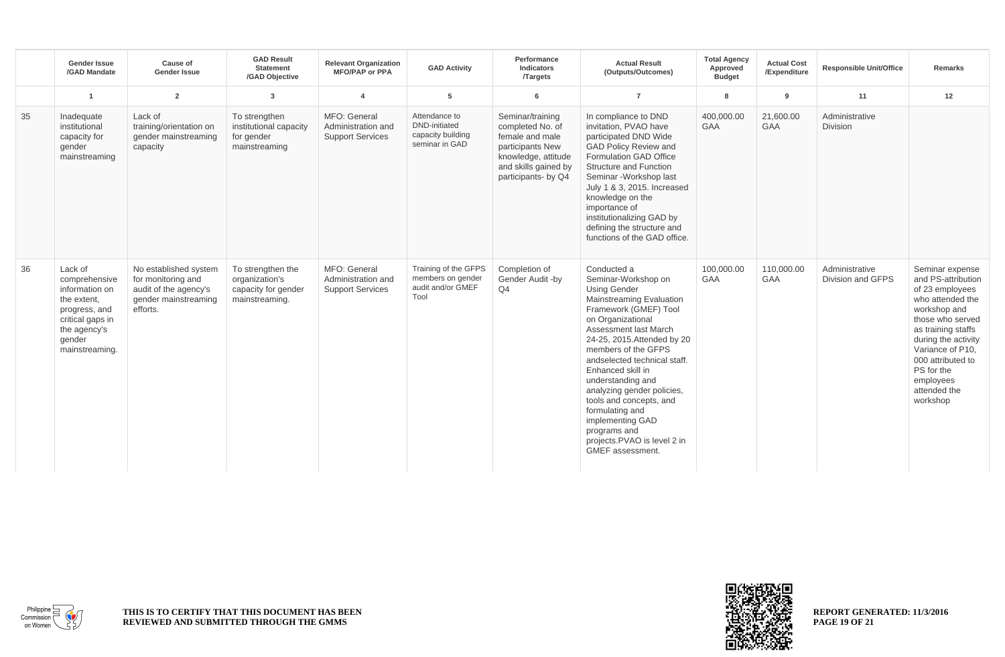|    | <b>Gender Issue</b><br>/GAD Mandate                                                                                                        | Cause of<br>Gender Issue                                                                                 | <b>GAD Result</b><br><b>Statement</b><br>/GAD Objective                      | <b>Relevant Organization</b><br><b>MFO/PAP or PPA</b>         | <b>GAD Activity</b>                                                          | Performance<br><b>Indicators</b><br><b>Targets</b>                                                                                                | <b>Actual Result</b><br>(Outputs/Outcomes)                                                                                                                                                                                                                                                                                                                                                                                                                      | <b>Total Agency</b><br>Approved<br><b>Budget</b> | <b>Actual Cost</b><br>/Expenditure | <b>Responsible Unit/Office</b>      | <b>Remarks</b>                                                                                                                                                                                                                                                |
|----|--------------------------------------------------------------------------------------------------------------------------------------------|----------------------------------------------------------------------------------------------------------|------------------------------------------------------------------------------|---------------------------------------------------------------|------------------------------------------------------------------------------|---------------------------------------------------------------------------------------------------------------------------------------------------|-----------------------------------------------------------------------------------------------------------------------------------------------------------------------------------------------------------------------------------------------------------------------------------------------------------------------------------------------------------------------------------------------------------------------------------------------------------------|--------------------------------------------------|------------------------------------|-------------------------------------|---------------------------------------------------------------------------------------------------------------------------------------------------------------------------------------------------------------------------------------------------------------|
|    | $\overline{1}$                                                                                                                             | $\overline{2}$                                                                                           | $\mathbf{3}$                                                                 | $\overline{4}$                                                | 5                                                                            | 6                                                                                                                                                 | $\overline{7}$                                                                                                                                                                                                                                                                                                                                                                                                                                                  | 8                                                | 9                                  | 11                                  | 12                                                                                                                                                                                                                                                            |
| 35 | Inadequate<br>institutional<br>capacity for<br>gender<br>mainstreaming                                                                     | Lack of<br>training/orientation on<br>gender mainstreaming<br>capacity                                   | To strengthen<br>institutional capacity<br>for gender<br>mainstreaming       | MFO: General<br>Administration and<br><b>Support Services</b> | Attendance to<br><b>DND-initiated</b><br>capacity building<br>seminar in GAD | Seminar/training<br>completed No. of<br>female and male<br>participants New<br>knowledge, attitude<br>and skills gained by<br>participants- by Q4 | In compliance to DND<br>invitation, PVAO have<br>participated DND Wide<br>GAD Policy Review and<br>Formulation GAD Office<br>Structure and Function<br>Seminar - Workshop last<br>July 1 & 3, 2015. Increased<br>knowledge on the<br>importance of<br>institutionalizing GAD by<br>defining the structure and<br>functions of the GAD office.                                                                                                                   | 400.000.00<br>GAA                                | 21,600.00<br><b>GAA</b>            | Administrative<br>Division          |                                                                                                                                                                                                                                                               |
| 36 | Lack of<br>comprehensive<br>information on<br>the extent,<br>progress, and<br>critical gaps in<br>the agency's<br>gender<br>mainstreaming. | No established system<br>for monitoring and<br>audit of the agency's<br>gender mainstreaming<br>efforts. | To strengthen the<br>organization's<br>capacity for gender<br>mainstreaming. | MFO: General<br>Administration and<br><b>Support Services</b> | Training of the GFPS<br>members on gender<br>audit and/or GMEF<br>Tool       | Completion of<br>Gender Audit -by<br>Q <sub>4</sub>                                                                                               | Conducted a<br>Seminar-Workshop on<br><b>Using Gender</b><br>Mainstreaming Evaluation<br>Framework (GMEF) Tool<br>on Organizational<br>Assessment last March<br>24-25, 2015. Attended by 20<br>members of the GFPS<br>andselected technical staff.<br>Enhanced skill in<br>understanding and<br>analyzing gender policies,<br>tools and concepts, and<br>formulating and<br>implementing GAD<br>programs and<br>projects.PVAO is level 2 in<br>GMEF assessment. | 100,000.00<br>GAA                                | 110,000.00<br><b>GAA</b>           | Administrative<br>Division and GFPS | Seminar expense<br>and PS-attribution<br>of 23 employees<br>who attended the<br>workshop and<br>those who served<br>as training staffs<br>during the activity<br>Variance of P10.<br>000 attributed to<br>PS for the<br>employees<br>attended the<br>workshop |



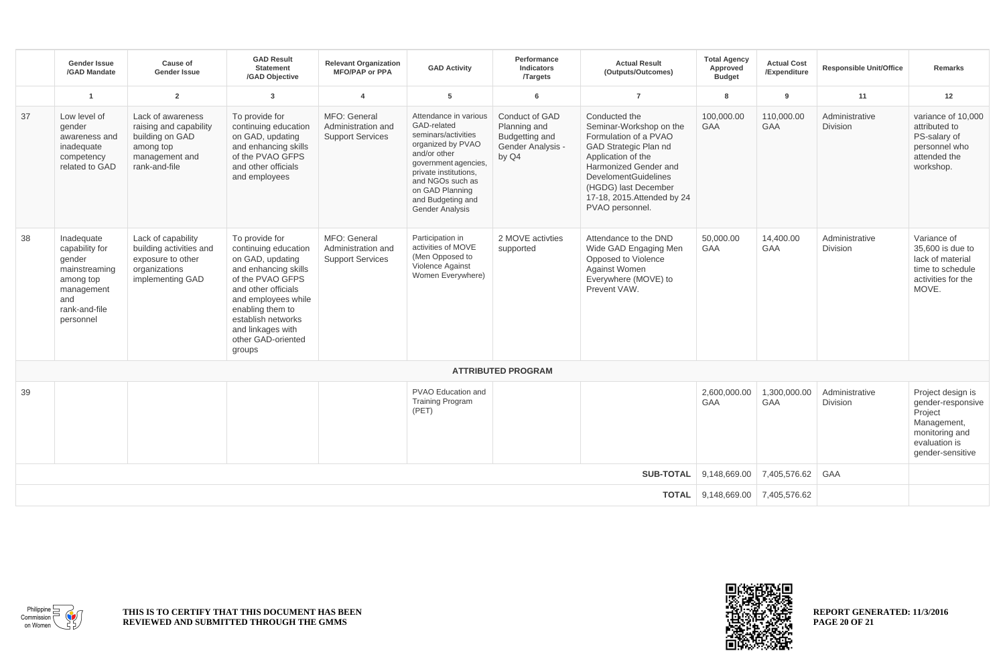|                                  | <b>Gender Issue</b><br>/GAD Mandate                                                                                     | Cause of<br><b>Gender Issue</b>                                                                                | <b>GAD Result</b><br><b>Statement</b><br>/GAD Objective                                                                                                                                                                                             | <b>Relevant Organization</b><br><b>MFO/PAP or PPA</b>         | <b>GAD Activity</b>                                                                                                                                                                                                                     | Performance<br>Indicators<br><b>Targets</b>                                    | <b>Actual Result</b><br>(Outputs/Outcomes)                                                                                                                                                                                                         | <b>Total Agency</b><br>Approved<br><b>Budget</b> | <b>Actual Cost</b><br>/Expenditure | <b>Responsible Unit/Office</b>    | <b>Remarks</b>                                                                                                          |
|----------------------------------|-------------------------------------------------------------------------------------------------------------------------|----------------------------------------------------------------------------------------------------------------|-----------------------------------------------------------------------------------------------------------------------------------------------------------------------------------------------------------------------------------------------------|---------------------------------------------------------------|-----------------------------------------------------------------------------------------------------------------------------------------------------------------------------------------------------------------------------------------|--------------------------------------------------------------------------------|----------------------------------------------------------------------------------------------------------------------------------------------------------------------------------------------------------------------------------------------------|--------------------------------------------------|------------------------------------|-----------------------------------|-------------------------------------------------------------------------------------------------------------------------|
|                                  | $\overline{1}$                                                                                                          | $\overline{2}$                                                                                                 | 3                                                                                                                                                                                                                                                   | $\overline{a}$                                                | 5                                                                                                                                                                                                                                       | 6                                                                              | $\overline{7}$                                                                                                                                                                                                                                     | 8                                                | 9                                  | 11                                | 12                                                                                                                      |
| 37                               | Low level of<br>gender<br>awareness and<br>inadequate<br>competency<br>related to GAD                                   | Lack of awareness<br>raising and capability<br>building on GAD<br>among top<br>management and<br>rank-and-file | To provide for<br>continuing education<br>on GAD, updating<br>and enhancing skills<br>of the PVAO GFPS<br>and other officials<br>and employees                                                                                                      | MFO: General<br>Administration and<br><b>Support Services</b> | Attendance in various<br>GAD-related<br>seminars/activities<br>organized by PVAO<br>and/or other<br>government agencies,<br>private institutions,<br>and NGOs such as<br>on GAD Planning<br>and Budgeting and<br><b>Gender Analysis</b> | Conduct of GAD<br>Planning and<br>Budgetting and<br>Gender Analysis -<br>by Q4 | Conducted the<br>Seminar-Workshop on the<br>Formulation of a PVAO<br>GAD Strategic Plan nd<br>Application of the<br>Harmonized Gender and<br><b>DevelomentGuidelines</b><br>(HGDG) last December<br>17-18, 2015. Attended by 24<br>PVAO personnel. | 100,000.00<br><b>GAA</b>                         | 110,000.00<br><b>GAA</b>           | Administrative<br>Division        | variance of 10,000<br>attributed to<br>PS-salary of<br>personnel who<br>attended the<br>workshop.                       |
| 38                               | Inadequate<br>capability for<br>gender<br>mainstreaming<br>among top<br>management<br>and<br>rank-and-file<br>personnel | Lack of capability<br>building activities and<br>exposure to other<br>organizations<br>implementing GAD        | To provide for<br>continuing education<br>on GAD, updating<br>and enhancing skills<br>of the PVAO GFPS<br>and other officials<br>and employees while<br>enabling them to<br>establish networks<br>and linkages with<br>other GAD-oriented<br>groups | MFO: General<br>Administration and<br><b>Support Services</b> | Participation in<br>activities of MOVE<br>(Men Opposed to<br>Violence Against<br>Women Everywhere)                                                                                                                                      | 2 MOVE activties<br>supported                                                  | Attendance to the DND<br>Wide GAD Engaging Men<br>Opposed to Violence<br><b>Against Women</b><br>Everywhere (MOVE) to<br>Prevent VAW.                                                                                                              | 50,000.00<br><b>GAA</b>                          | 14,400.00<br><b>GAA</b>            | Administrative<br><b>Division</b> | Variance of<br>35,600 is due to<br>lack of material<br>time to schedule<br>activities for the<br>MOVE.                  |
|                                  |                                                                                                                         |                                                                                                                |                                                                                                                                                                                                                                                     |                                                               |                                                                                                                                                                                                                                         | <b>ATTRIBUTED PROGRAM</b>                                                      |                                                                                                                                                                                                                                                    |                                                  |                                    |                                   |                                                                                                                         |
| 39                               |                                                                                                                         |                                                                                                                |                                                                                                                                                                                                                                                     |                                                               | PVAO Education and<br><b>Training Program</b><br>(PET)                                                                                                                                                                                  |                                                                                |                                                                                                                                                                                                                                                    | 2,600,000.00<br><b>GAA</b>                       | 1,300,000.00<br>GAA                | Administrative<br>Division        | Project design is<br>gender-responsive<br>Project<br>Management,<br>monitoring and<br>evaluation is<br>gender-sensitive |
| <b>SUB-TOTAL</b><br>9,148,669.00 |                                                                                                                         |                                                                                                                |                                                                                                                                                                                                                                                     |                                                               |                                                                                                                                                                                                                                         |                                                                                |                                                                                                                                                                                                                                                    |                                                  | 7,405,576.62                       | <b>GAA</b>                        |                                                                                                                         |
|                                  |                                                                                                                         |                                                                                                                | <b>TOTAL</b>                                                                                                                                                                                                                                        | 9,148,669.00 7,405,576.62                                     |                                                                                                                                                                                                                                         |                                                                                |                                                                                                                                                                                                                                                    |                                                  |                                    |                                   |                                                                                                                         |